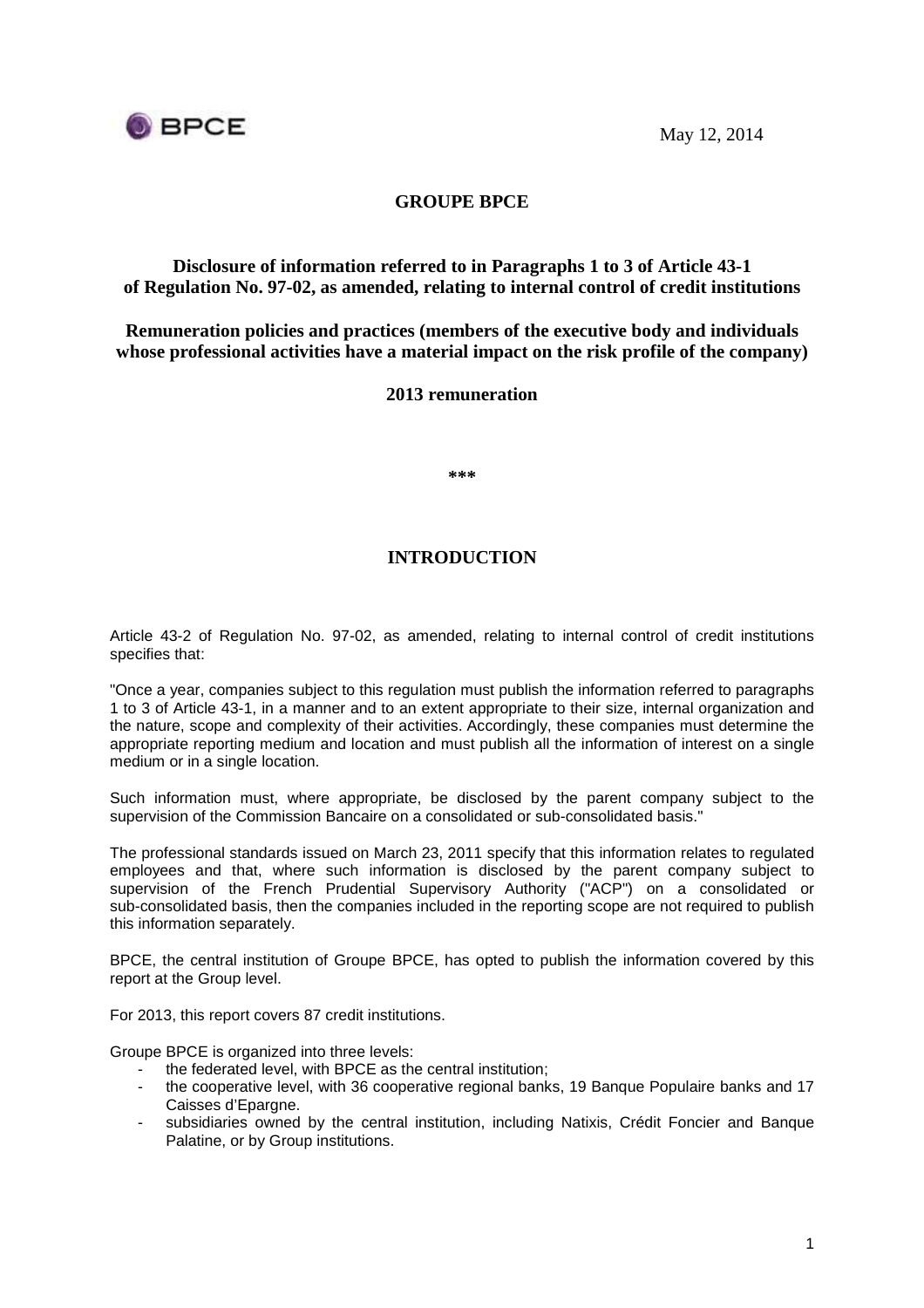

# **GROUPE BPCE**

# **Disclosure of information referred to in Paragraphs 1 to 3 of Article 43-1 of Regulation No. 97-02, as amended, relating to internal control of credit institutions**

**Remuneration policies and practices (members of the executive body and individuals whose professional activities have a material impact on the risk profile of the company)** 

### **2013 remuneration**

**\*\*\*** 

# **INTRODUCTION**

Article 43-2 of Regulation No. 97-02, as amended, relating to internal control of credit institutions specifies that:

"Once a year, companies subject to this regulation must publish the information referred to paragraphs 1 to 3 of Article 43-1, in a manner and to an extent appropriate to their size, internal organization and the nature, scope and complexity of their activities. Accordingly, these companies must determine the appropriate reporting medium and location and must publish all the information of interest on a single medium or in a single location.

Such information must, where appropriate, be disclosed by the parent company subject to the supervision of the Commission Bancaire on a consolidated or sub-consolidated basis."

The professional standards issued on March 23, 2011 specify that this information relates to regulated employees and that, where such information is disclosed by the parent company subject to supervision of the French Prudential Supervisory Authority ("ACP") on a consolidated or sub-consolidated basis, then the companies included in the reporting scope are not required to publish this information separately.

BPCE, the central institution of Groupe BPCE, has opted to publish the information covered by this report at the Group level.

For 2013, this report covers 87 credit institutions.

Groupe BPCE is organized into three levels:

- the federated level, with BPCE as the central institution;
- the cooperative level, with 36 cooperative regional banks, 19 Banque Populaire banks and 17 Caisses d'Epargne.
- subsidiaries owned by the central institution, including Natixis, Crédit Foncier and Banque Palatine, or by Group institutions.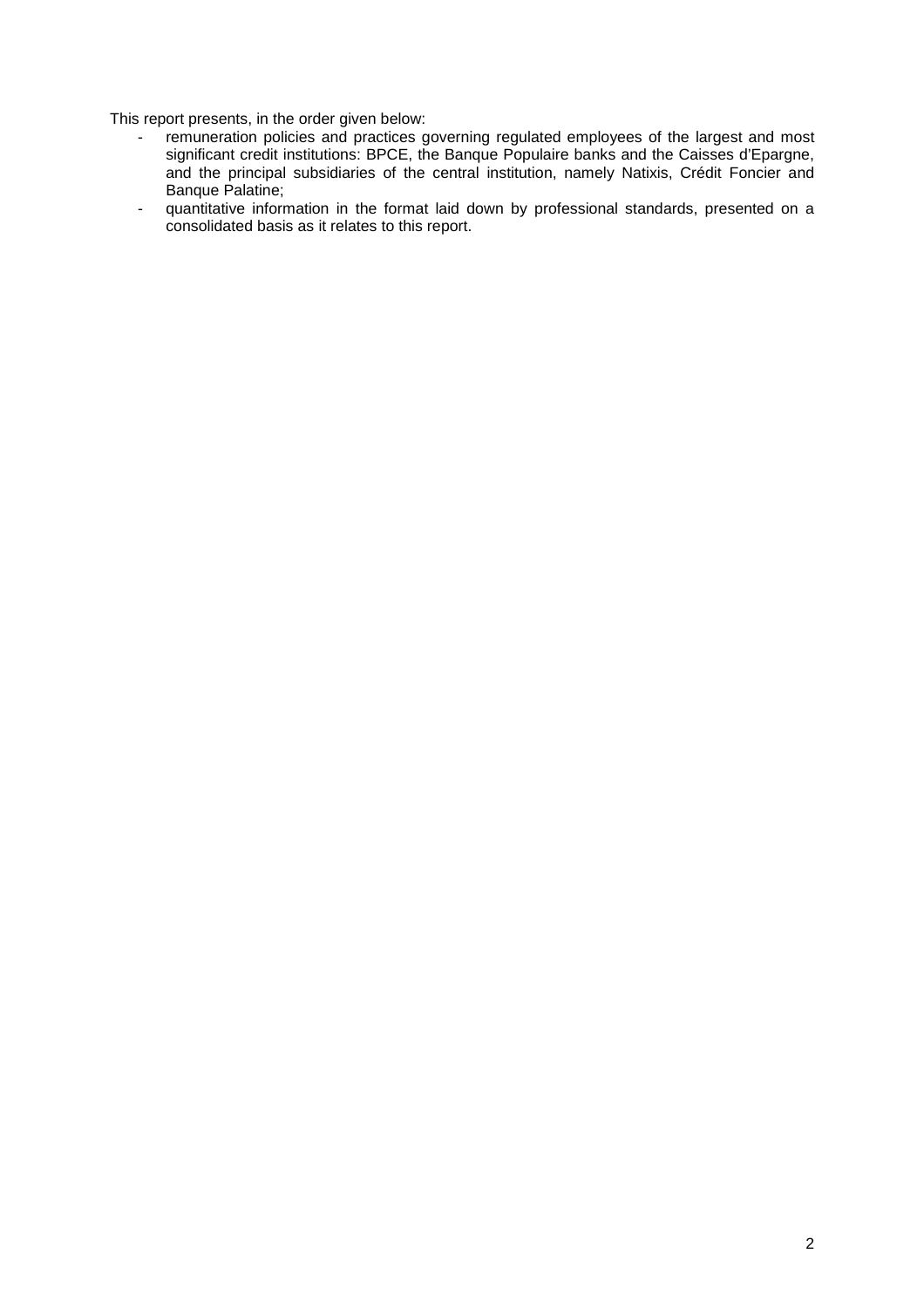This report presents, in the order given below:

- remuneration policies and practices governing regulated employees of the largest and most significant credit institutions: BPCE, the Banque Populaire banks and the Caisses d'Epargne, and the principal subsidiaries of the central institution, namely Natixis, Crédit Foncier and Banque Palatine;
- quantitative information in the format laid down by professional standards, presented on a consolidated basis as it relates to this report.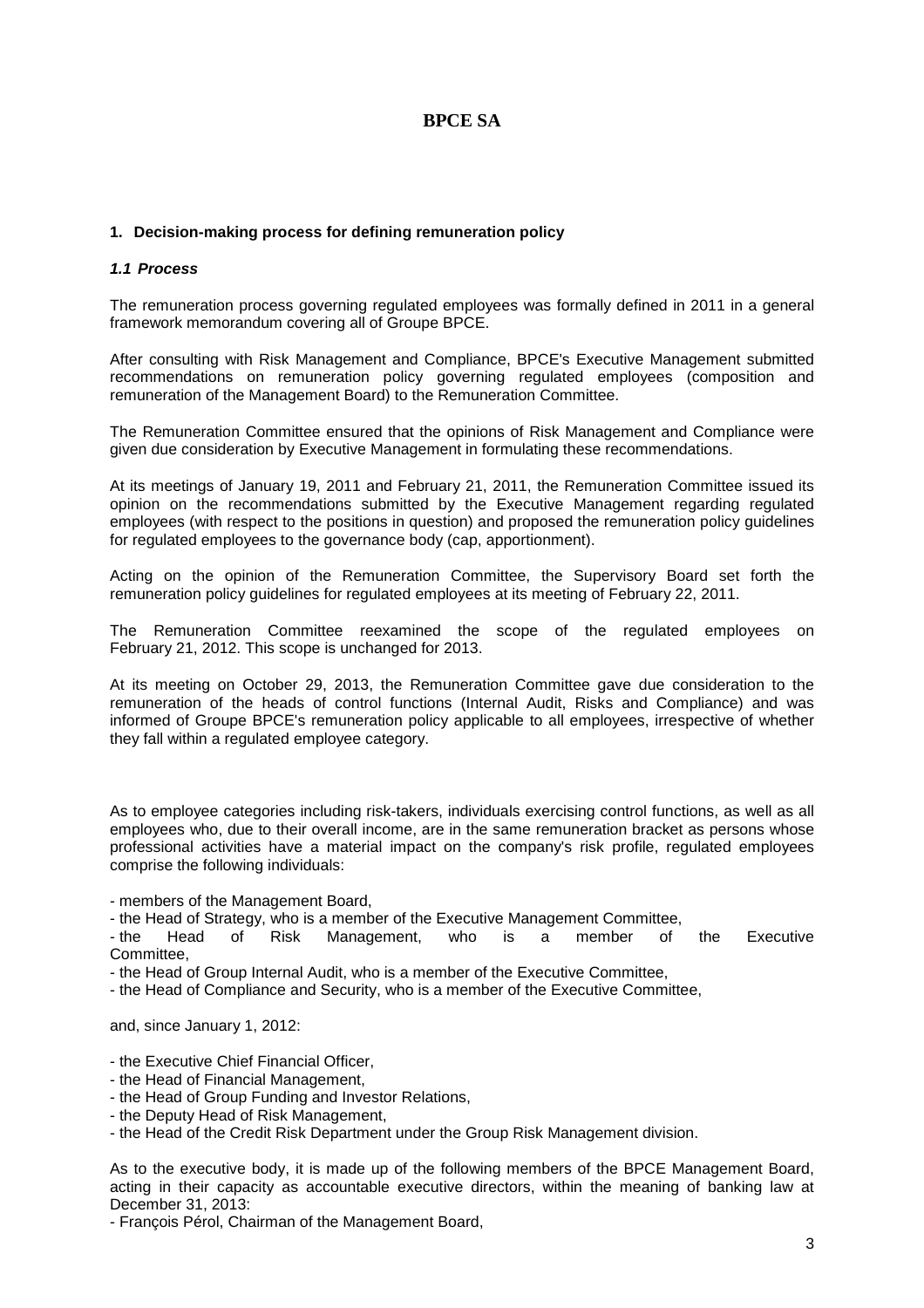# **BPCE SA**

### **1. Decision-making process for defining remuneration policy**

### **1.1 Process**

The remuneration process governing regulated employees was formally defined in 2011 in a general framework memorandum covering all of Groupe BPCE.

After consulting with Risk Management and Compliance, BPCE's Executive Management submitted recommendations on remuneration policy governing regulated employees (composition and remuneration of the Management Board) to the Remuneration Committee.

The Remuneration Committee ensured that the opinions of Risk Management and Compliance were given due consideration by Executive Management in formulating these recommendations.

At its meetings of January 19, 2011 and February 21, 2011, the Remuneration Committee issued its opinion on the recommendations submitted by the Executive Management regarding regulated employees (with respect to the positions in question) and proposed the remuneration policy guidelines for regulated employees to the governance body (cap, apportionment).

Acting on the opinion of the Remuneration Committee, the Supervisory Board set forth the remuneration policy guidelines for regulated employees at its meeting of February 22, 2011.

The Remuneration Committee reexamined the scope of the regulated employees on February 21, 2012. This scope is unchanged for 2013.

At its meeting on October 29, 2013, the Remuneration Committee gave due consideration to the remuneration of the heads of control functions (Internal Audit, Risks and Compliance) and was informed of Groupe BPCE's remuneration policy applicable to all employees, irrespective of whether they fall within a regulated employee category.

As to employee categories including risk-takers, individuals exercising control functions, as well as all employees who, due to their overall income, are in the same remuneration bracket as persons whose professional activities have a material impact on the company's risk profile, regulated employees comprise the following individuals:

- members of the Management Board,

- the Head of Strategy, who is a member of the Executive Management Committee,

- the Head of Risk Management, who is a member of the Executive Committee,

- the Head of Group Internal Audit, who is a member of the Executive Committee,

- the Head of Compliance and Security, who is a member of the Executive Committee,

and, since January 1, 2012:

- the Executive Chief Financial Officer,

- the Head of Financial Management,

- the Head of Group Funding and Investor Relations,

- the Deputy Head of Risk Management,

- the Head of the Credit Risk Department under the Group Risk Management division.

As to the executive body, it is made up of the following members of the BPCE Management Board, acting in their capacity as accountable executive directors, within the meaning of banking law at December 31, 2013:

- François Pérol, Chairman of the Management Board,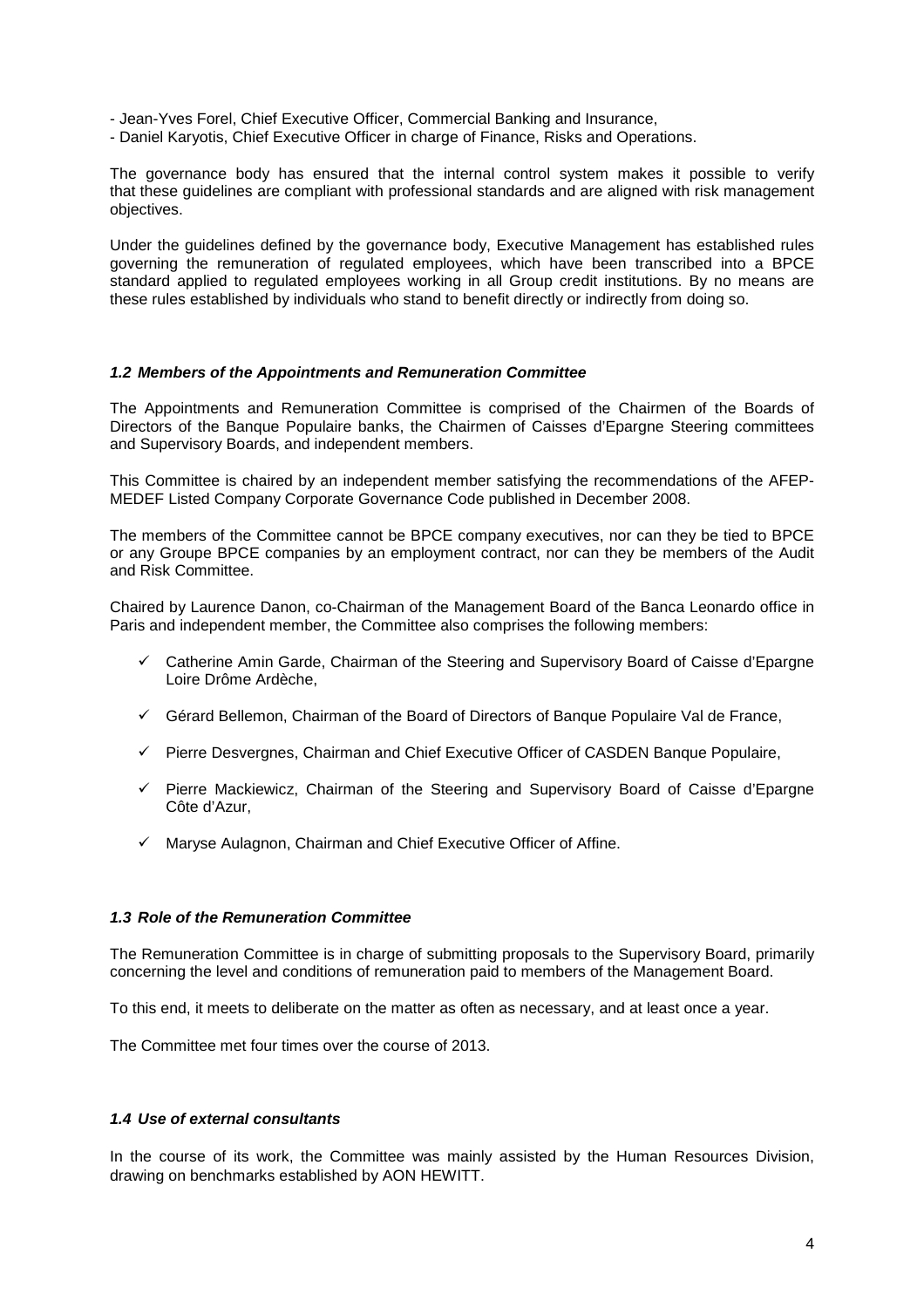- Jean-Yves Forel, Chief Executive Officer, Commercial Banking and Insurance,
- Daniel Karyotis, Chief Executive Officer in charge of Finance, Risks and Operations.

The governance body has ensured that the internal control system makes it possible to verify that these guidelines are compliant with professional standards and are aligned with risk management objectives.

Under the guidelines defined by the governance body, Executive Management has established rules governing the remuneration of regulated employees, which have been transcribed into a BPCE standard applied to regulated employees working in all Group credit institutions. By no means are these rules established by individuals who stand to benefit directly or indirectly from doing so.

#### **1.2 Members of the Appointments and Remuneration Committee**

The Appointments and Remuneration Committee is comprised of the Chairmen of the Boards of Directors of the Banque Populaire banks, the Chairmen of Caisses d'Epargne Steering committees and Supervisory Boards, and independent members.

This Committee is chaired by an independent member satisfying the recommendations of the AFEP-MEDEF Listed Company Corporate Governance Code published in December 2008.

The members of the Committee cannot be BPCE company executives, nor can they be tied to BPCE or any Groupe BPCE companies by an employment contract, nor can they be members of the Audit and Risk Committee.

Chaired by Laurence Danon, co-Chairman of the Management Board of the Banca Leonardo office in Paris and independent member, the Committee also comprises the following members:

- $\checkmark$  Catherine Amin Garde, Chairman of the Steering and Supervisory Board of Caisse d'Epargne Loire Drôme Ardèche,
- $\checkmark$  Gérard Bellemon, Chairman of the Board of Directors of Banque Populaire Val de France,
- $\checkmark$  Pierre Desvergnes, Chairman and Chief Executive Officer of CASDEN Banque Populaire,
- $\checkmark$  Pierre Mackiewicz, Chairman of the Steering and Supervisory Board of Caisse d'Epargne Côte d'Azur,
- $\checkmark$  Maryse Aulagnon, Chairman and Chief Executive Officer of Affine.

### **1.3 Role of the Remuneration Committee**

The Remuneration Committee is in charge of submitting proposals to the Supervisory Board, primarily concerning the level and conditions of remuneration paid to members of the Management Board.

To this end, it meets to deliberate on the matter as often as necessary, and at least once a year.

The Committee met four times over the course of 2013.

### **1.4 Use of external consultants**

In the course of its work, the Committee was mainly assisted by the Human Resources Division, drawing on benchmarks established by AON HEWITT.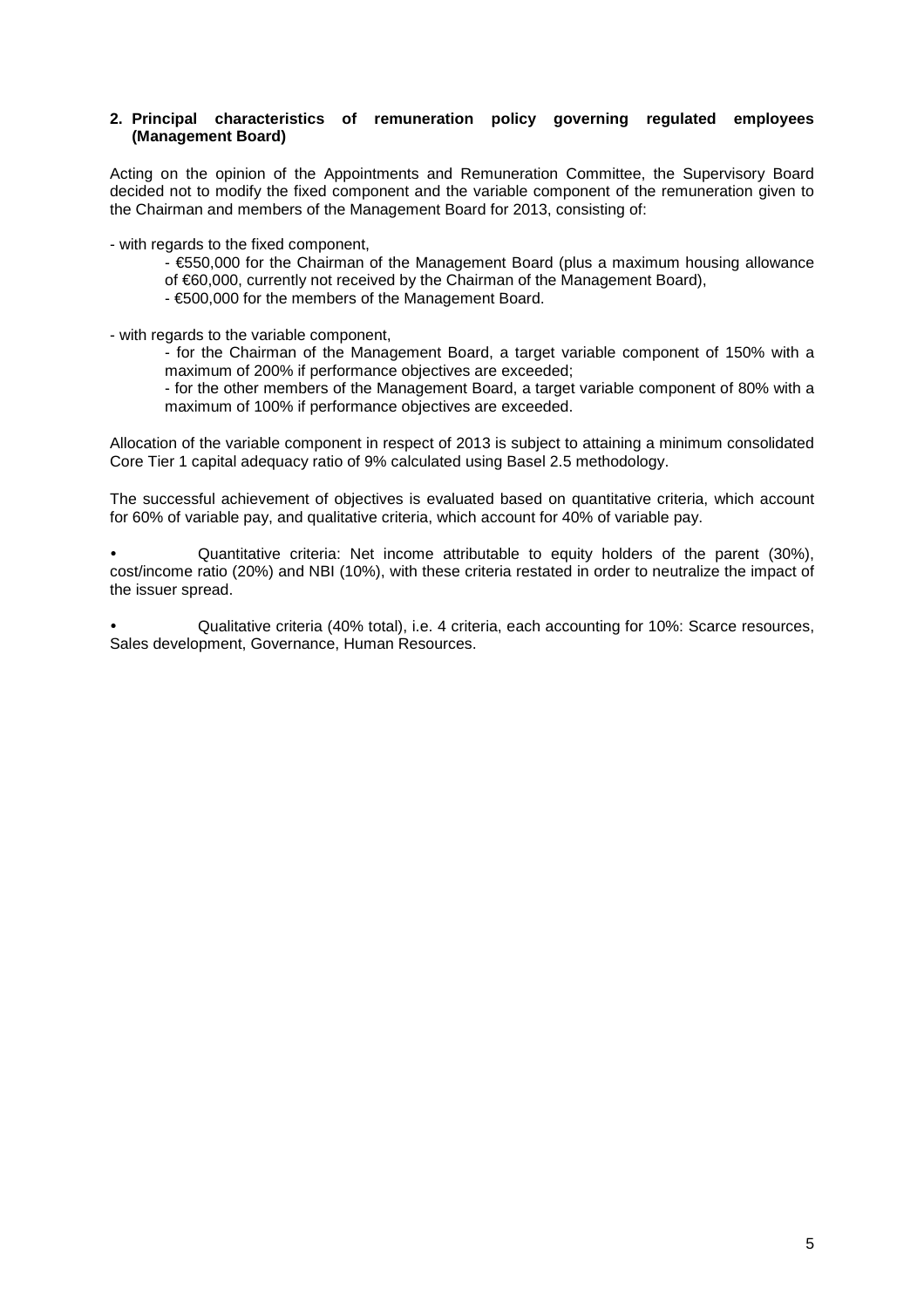### **2. Principal characteristics of remuneration policy governing regulated employees (Management Board)**

Acting on the opinion of the Appointments and Remuneration Committee, the Supervisory Board decided not to modify the fixed component and the variable component of the remuneration given to the Chairman and members of the Management Board for 2013, consisting of:

- with regards to the fixed component,

 $\epsilon$ 550,000 for the Chairman of the Management Board (plus a maximum housing allowance of €60,000, currently not received by the Chairman of the Management Board),

- €500,000 for the members of the Management Board.

- with regards to the variable component,

- for the Chairman of the Management Board, a target variable component of 150% with a maximum of 200% if performance objectives are exceeded;

- for the other members of the Management Board, a target variable component of 80% with a maximum of 100% if performance objectives are exceeded.

Allocation of the variable component in respect of 2013 is subject to attaining a minimum consolidated Core Tier 1 capital adequacy ratio of 9% calculated using Basel 2.5 methodology.

The successful achievement of objectives is evaluated based on quantitative criteria, which account for 60% of variable pay, and qualitative criteria, which account for 40% of variable pay.

- Quantitative criteria: Net income attributable to equity holders of the parent (30%), cost/income ratio (20%) and NBI (10%), with these criteria restated in order to neutralize the impact of the issuer spread.

- Qualitative criteria (40% total), i.e. 4 criteria, each accounting for 10%: Scarce resources, Sales development, Governance, Human Resources.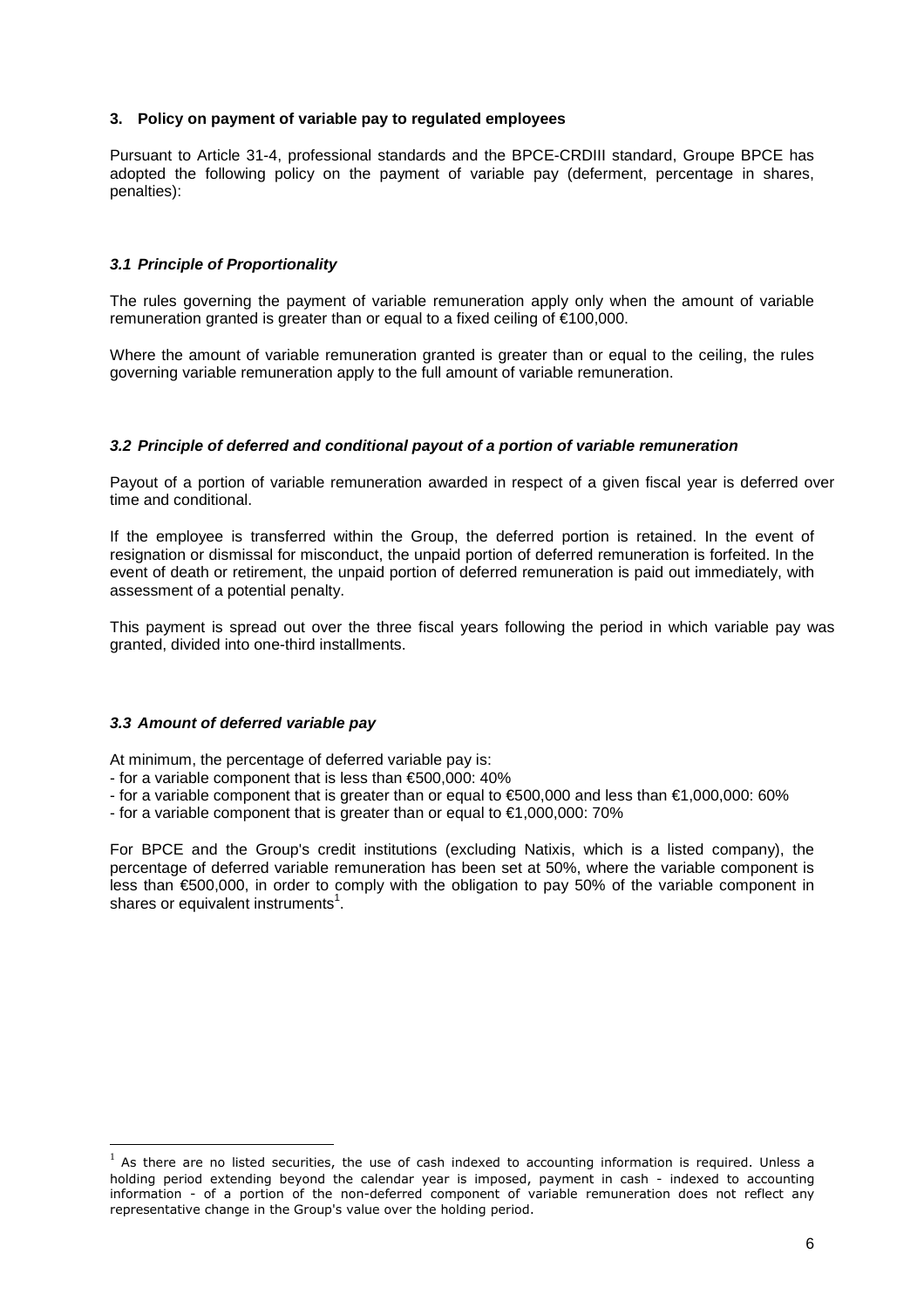### **3. Policy on payment of variable pay to regulated employees**

Pursuant to Article 31-4, professional standards and the BPCE-CRDIII standard, Groupe BPCE has adopted the following policy on the payment of variable pay (deferment, percentage in shares, penalties):

### **3.1 Principle of Proportionality**

The rules governing the payment of variable remuneration apply only when the amount of variable remuneration granted is greater than or equal to a fixed ceiling of €100,000.

Where the amount of variable remuneration granted is greater than or equal to the ceiling, the rules governing variable remuneration apply to the full amount of variable remuneration.

#### **3.2 Principle of deferred and conditional payout of a portion of variable remuneration**

Payout of a portion of variable remuneration awarded in respect of a given fiscal year is deferred over time and conditional.

If the employee is transferred within the Group, the deferred portion is retained. In the event of resignation or dismissal for misconduct, the unpaid portion of deferred remuneration is forfeited. In the event of death or retirement, the unpaid portion of deferred remuneration is paid out immediately, with assessment of a potential penalty.

This payment is spread out over the three fiscal years following the period in which variable pay was granted, divided into one-third installments.

#### **3.3 Amount of deferred variable pay**

 $\overline{a}$ 

At minimum, the percentage of deferred variable pay is:

- for a variable component that is less than €500,000: 40%
- for a variable component that is greater than or equal to €500,000 and less than €1,000,000: 60%
- for a variable component that is greater than or equal to  $€1,000,000$ : 70%

For BPCE and the Group's credit institutions (excluding Natixis, which is a listed company), the percentage of deferred variable remuneration has been set at 50%, where the variable component is less than €500,000, in order to comply with the obligation to pay 50% of the variable component in shares or equivalent instruments<sup>1</sup>.

<sup>1</sup> As there are no listed securities, the use of cash indexed to accounting information is required. Unless a holding period extending beyond the calendar year is imposed, payment in cash - indexed to accounting information - of a portion of the non-deferred component of variable remuneration does not reflect any representative change in the Group's value over the holding period.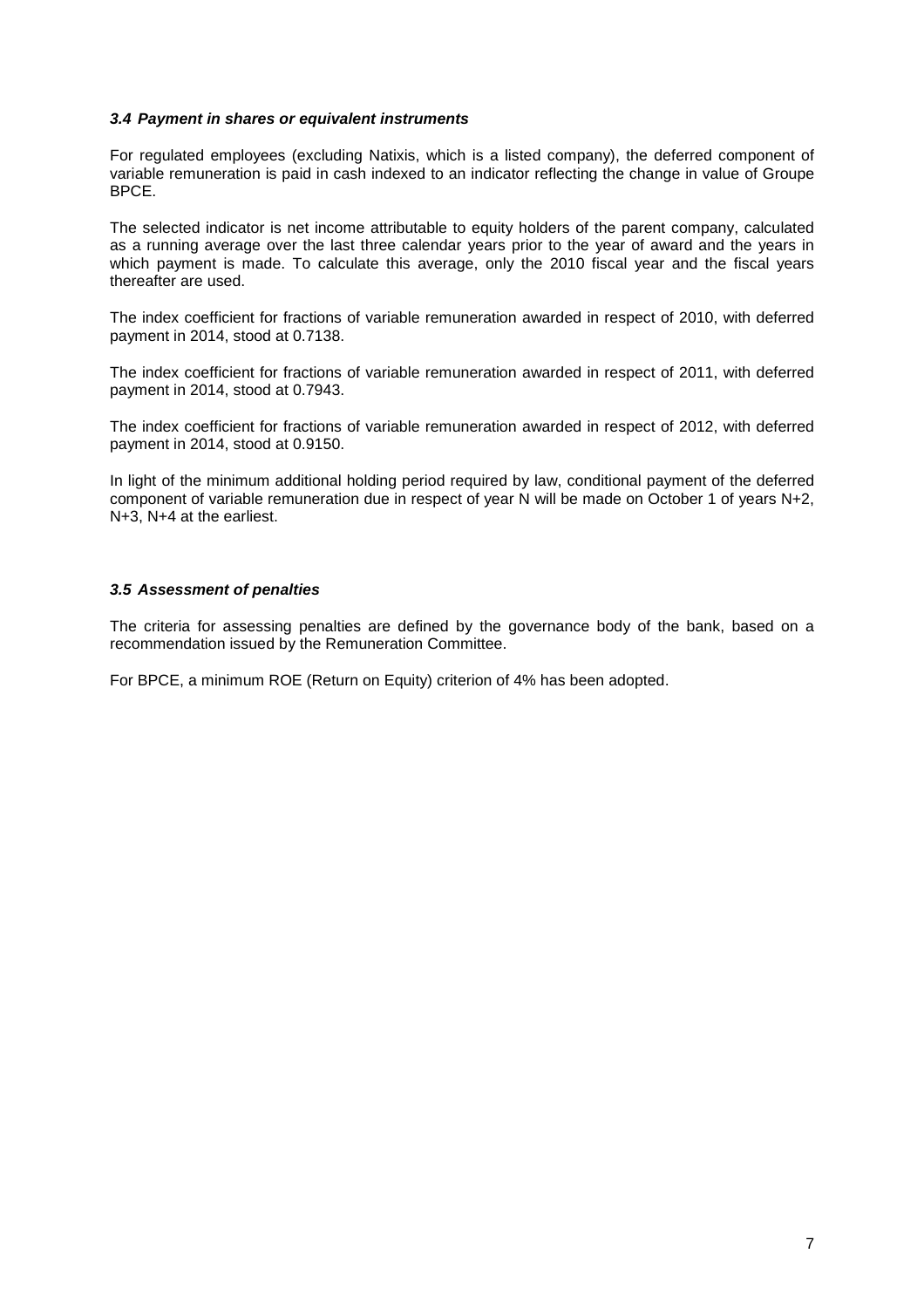### **3.4 Payment in shares or equivalent instruments**

For regulated employees (excluding Natixis, which is a listed company), the deferred component of variable remuneration is paid in cash indexed to an indicator reflecting the change in value of Groupe BPCE.

The selected indicator is net income attributable to equity holders of the parent company, calculated as a running average over the last three calendar years prior to the year of award and the years in which payment is made. To calculate this average, only the 2010 fiscal year and the fiscal years thereafter are used.

The index coefficient for fractions of variable remuneration awarded in respect of 2010, with deferred payment in 2014, stood at 0.7138.

The index coefficient for fractions of variable remuneration awarded in respect of 2011, with deferred payment in 2014, stood at 0.7943.

The index coefficient for fractions of variable remuneration awarded in respect of 2012, with deferred payment in 2014, stood at 0.9150.

In light of the minimum additional holding period required by law, conditional payment of the deferred component of variable remuneration due in respect of year N will be made on October 1 of years N+2, N+3, N+4 at the earliest.

### **3.5 Assessment of penalties**

The criteria for assessing penalties are defined by the governance body of the bank, based on a recommendation issued by the Remuneration Committee.

For BPCE, a minimum ROE (Return on Equity) criterion of 4% has been adopted.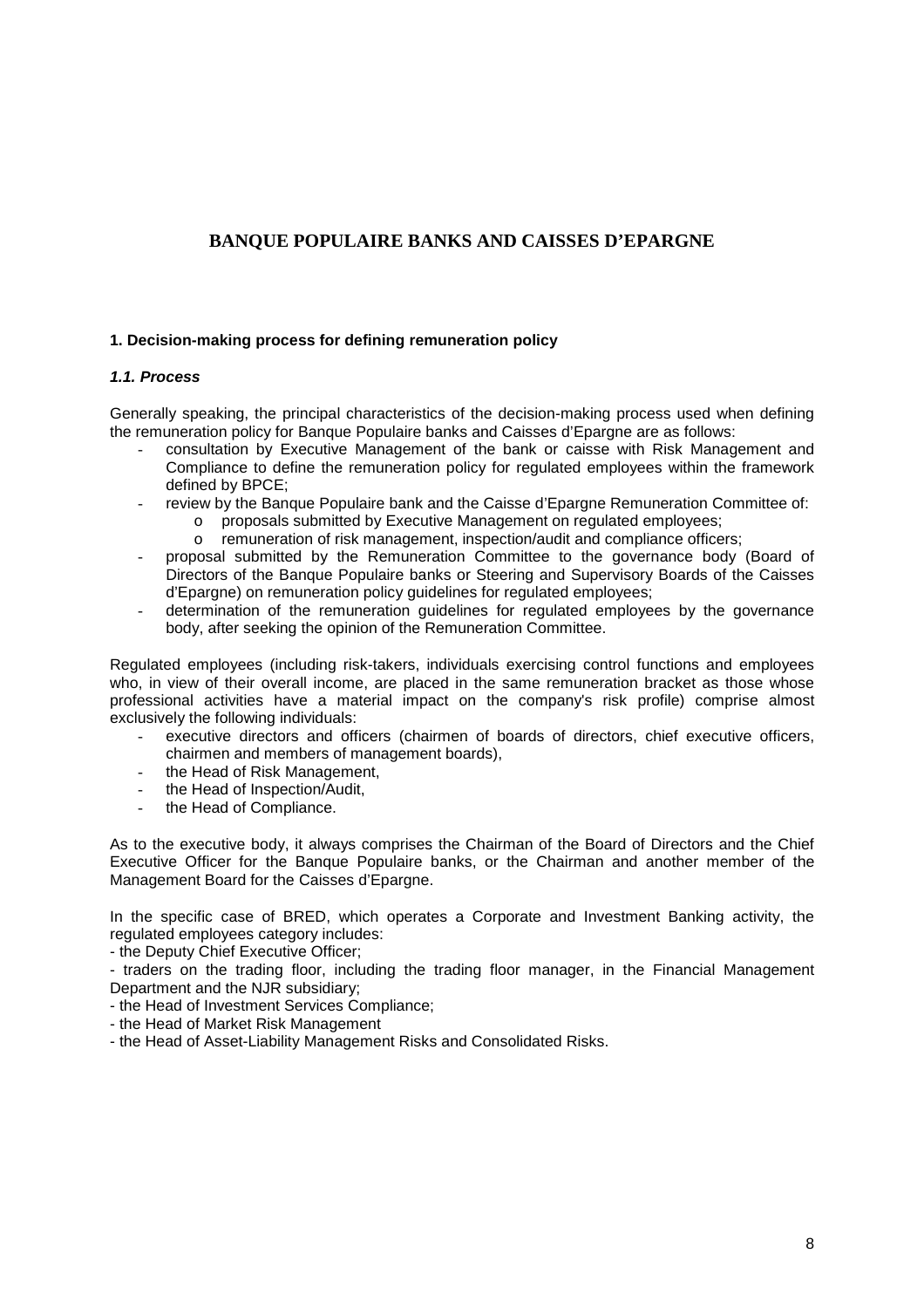# **BANQUE POPULAIRE BANKS AND CAISSES D'EPARGNE**

### **1. Decision-making process for defining remuneration policy**

### **1.1. Process**

Generally speaking, the principal characteristics of the decision-making process used when defining the remuneration policy for Banque Populaire banks and Caisses d'Epargne are as follows:

- consultation by Executive Management of the bank or caisse with Risk Management and Compliance to define the remuneration policy for regulated employees within the framework defined by BPCE;
- review by the Banque Populaire bank and the Caisse d'Epargne Remuneration Committee of:
	- o proposals submitted by Executive Management on regulated employees;
	- o remuneration of risk management, inspection/audit and compliance officers;
- proposal submitted by the Remuneration Committee to the governance body (Board of Directors of the Banque Populaire banks or Steering and Supervisory Boards of the Caisses d'Epargne) on remuneration policy guidelines for regulated employees;
- determination of the remuneration guidelines for regulated employees by the governance body, after seeking the opinion of the Remuneration Committee.

Regulated employees (including risk-takers, individuals exercising control functions and employees who, in view of their overall income, are placed in the same remuneration bracket as those whose professional activities have a material impact on the company's risk profile) comprise almost exclusively the following individuals:

- executive directors and officers (chairmen of boards of directors, chief executive officers, chairmen and members of management boards),
- the Head of Risk Management,
- the Head of Inspection/Audit.
- the Head of Compliance.

As to the executive body, it always comprises the Chairman of the Board of Directors and the Chief Executive Officer for the Banque Populaire banks, or the Chairman and another member of the Management Board for the Caisses d'Epargne.

In the specific case of BRED, which operates a Corporate and Investment Banking activity, the regulated employees category includes:

- the Deputy Chief Executive Officer;

- traders on the trading floor, including the trading floor manager, in the Financial Management Department and the NJR subsidiary;

- the Head of Investment Services Compliance;
- the Head of Market Risk Management
- the Head of Asset-Liability Management Risks and Consolidated Risks.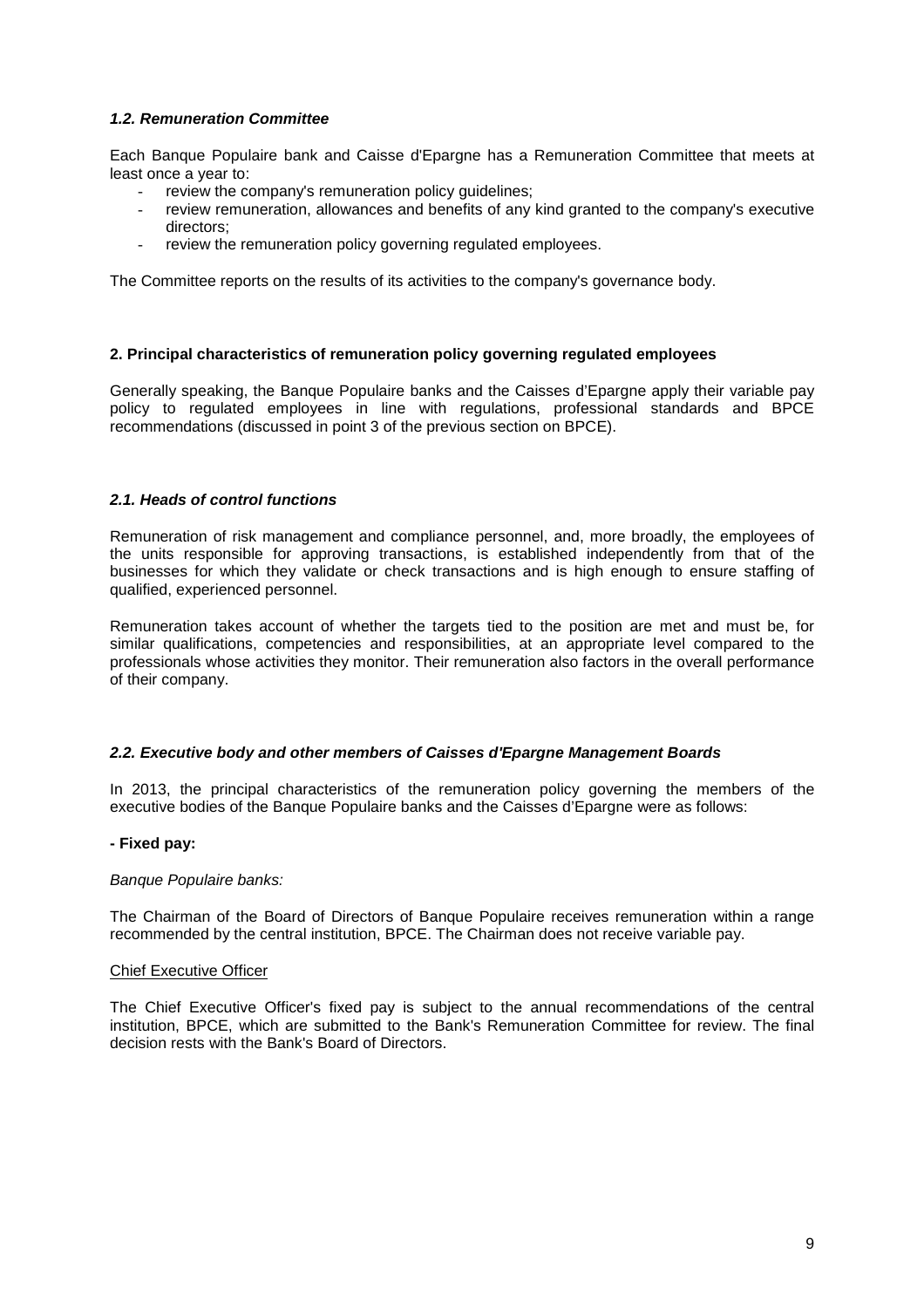### **1.2. Remuneration Committee**

Each Banque Populaire bank and Caisse d'Epargne has a Remuneration Committee that meets at least once a year to:

- review the company's remuneration policy guidelines;
- review remuneration, allowances and benefits of any kind granted to the company's executive directors;
- review the remuneration policy governing regulated employees.

The Committee reports on the results of its activities to the company's governance body.

### **2. Principal characteristics of remuneration policy governing regulated employees**

Generally speaking, the Banque Populaire banks and the Caisses d'Epargne apply their variable pay policy to regulated employees in line with regulations, professional standards and BPCE recommendations (discussed in point 3 of the previous section on BPCE).

### **2.1. Heads of control functions**

Remuneration of risk management and compliance personnel, and, more broadly, the employees of the units responsible for approving transactions, is established independently from that of the businesses for which they validate or check transactions and is high enough to ensure staffing of qualified, experienced personnel.

Remuneration takes account of whether the targets tied to the position are met and must be, for similar qualifications, competencies and responsibilities, at an appropriate level compared to the professionals whose activities they monitor. Their remuneration also factors in the overall performance of their company.

#### **2.2. Executive body and other members of Caisses d'Epargne Management Boards**

In 2013, the principal characteristics of the remuneration policy governing the members of the executive bodies of the Banque Populaire banks and the Caisses d'Epargne were as follows:

#### **- Fixed pay:**

#### Banque Populaire banks:

The Chairman of the Board of Directors of Banque Populaire receives remuneration within a range recommended by the central institution, BPCE. The Chairman does not receive variable pay.

### Chief Executive Officer

The Chief Executive Officer's fixed pay is subject to the annual recommendations of the central institution, BPCE, which are submitted to the Bank's Remuneration Committee for review. The final decision rests with the Bank's Board of Directors.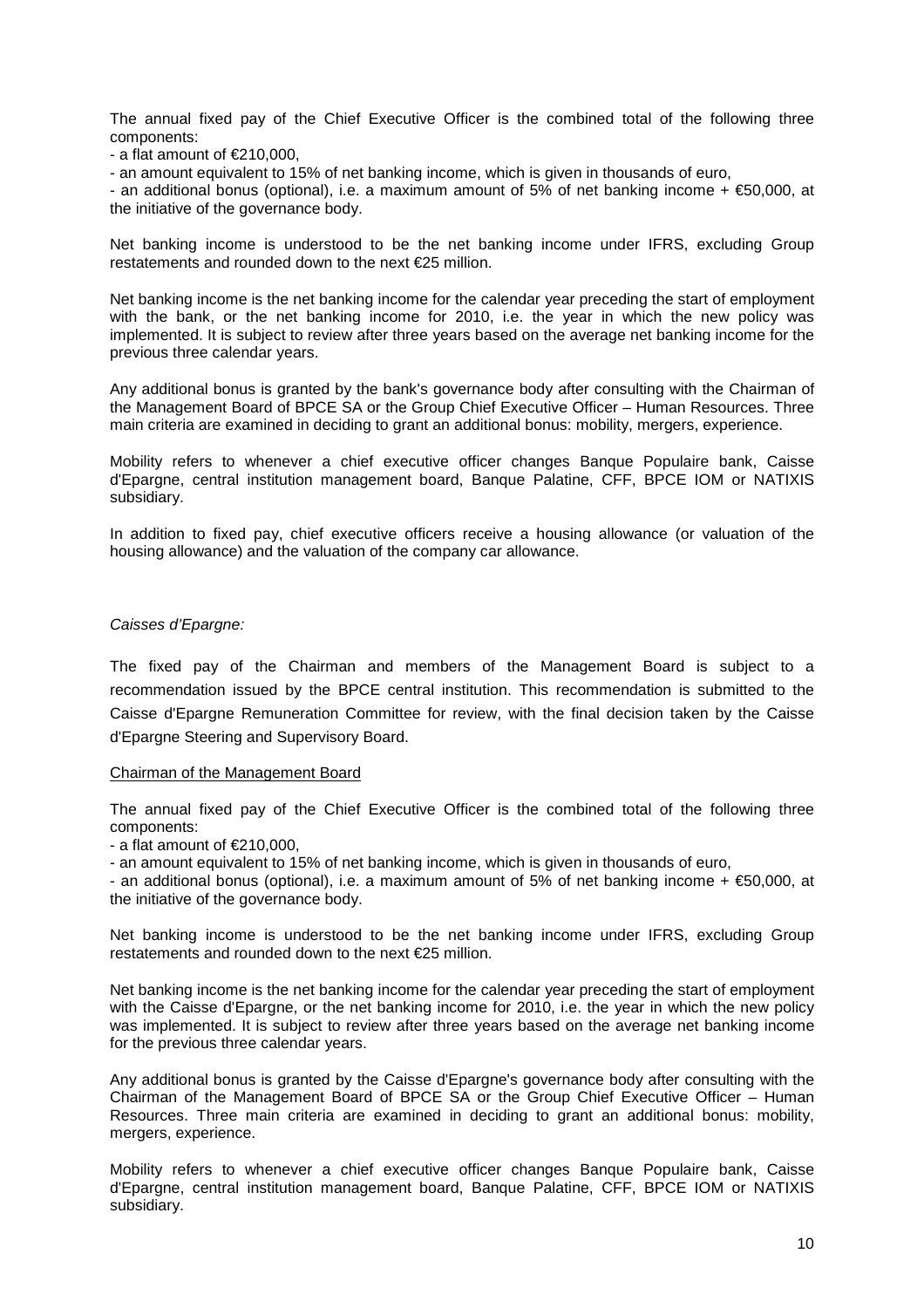The annual fixed pay of the Chief Executive Officer is the combined total of the following three components:

 $-$  a flat amount of  $\epsilon$ 210,000,

- an amount equivalent to 15% of net banking income, which is given in thousands of euro,

- an additional bonus (optional), i.e. a maximum amount of 5% of net banking income + €50,000, at the initiative of the governance body.

Net banking income is understood to be the net banking income under IFRS, excluding Group restatements and rounded down to the next €25 million.

Net banking income is the net banking income for the calendar year preceding the start of employment with the bank, or the net banking income for 2010, i.e. the year in which the new policy was implemented. It is subject to review after three years based on the average net banking income for the previous three calendar years.

Any additional bonus is granted by the bank's governance body after consulting with the Chairman of the Management Board of BPCE SA or the Group Chief Executive Officer – Human Resources. Three main criteria are examined in deciding to grant an additional bonus: mobility, mergers, experience.

Mobility refers to whenever a chief executive officer changes Banque Populaire bank, Caisse d'Epargne, central institution management board, Banque Palatine, CFF, BPCE IOM or NATIXIS subsidiary.

In addition to fixed pay, chief executive officers receive a housing allowance (or valuation of the housing allowance) and the valuation of the company car allowance.

#### Caisses d'Epargne:

The fixed pay of the Chairman and members of the Management Board is subject to a recommendation issued by the BPCE central institution. This recommendation is submitted to the Caisse d'Epargne Remuneration Committee for review, with the final decision taken by the Caisse d'Epargne Steering and Supervisory Board.

#### Chairman of the Management Board

The annual fixed pay of the Chief Executive Officer is the combined total of the following three components:

 $-$  a flat amount of  $\epsilon$ 210,000,

- an amount equivalent to 15% of net banking income, which is given in thousands of euro,

- an additional bonus (optional), i.e. a maximum amount of 5% of net banking income + €50,000, at the initiative of the governance body.

Net banking income is understood to be the net banking income under IFRS, excluding Group restatements and rounded down to the next €25 million.

Net banking income is the net banking income for the calendar year preceding the start of employment with the Caisse d'Epargne, or the net banking income for 2010, i.e. the year in which the new policy was implemented. It is subject to review after three years based on the average net banking income for the previous three calendar years.

Any additional bonus is granted by the Caisse d'Epargne's governance body after consulting with the Chairman of the Management Board of BPCE SA or the Group Chief Executive Officer – Human Resources. Three main criteria are examined in deciding to grant an additional bonus: mobility, mergers, experience.

Mobility refers to whenever a chief executive officer changes Banque Populaire bank, Caisse d'Epargne, central institution management board, Banque Palatine, CFF, BPCE IOM or NATIXIS subsidiary.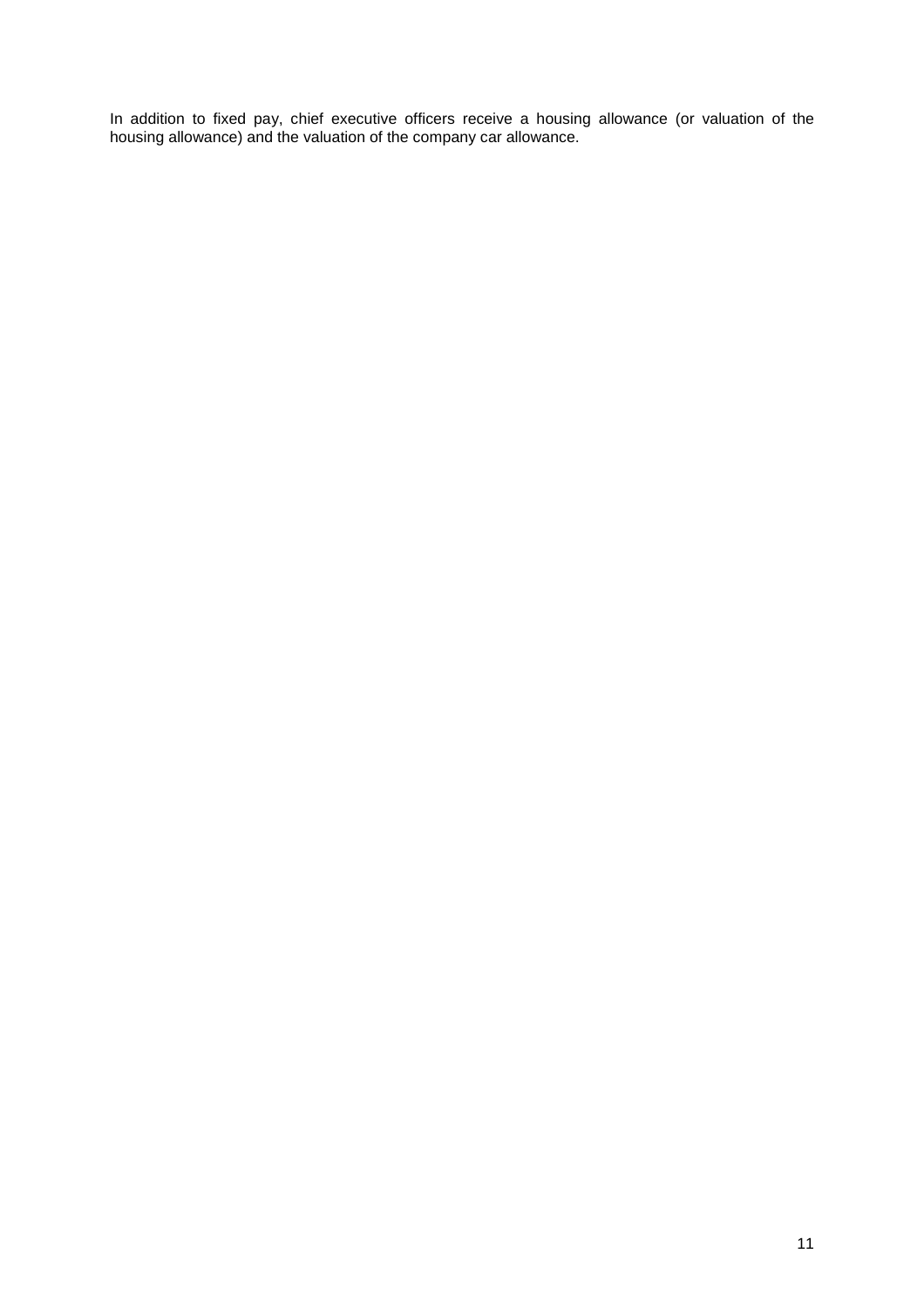In addition to fixed pay, chief executive officers receive a housing allowance (or valuation of the housing allowance) and the valuation of the company car allowance.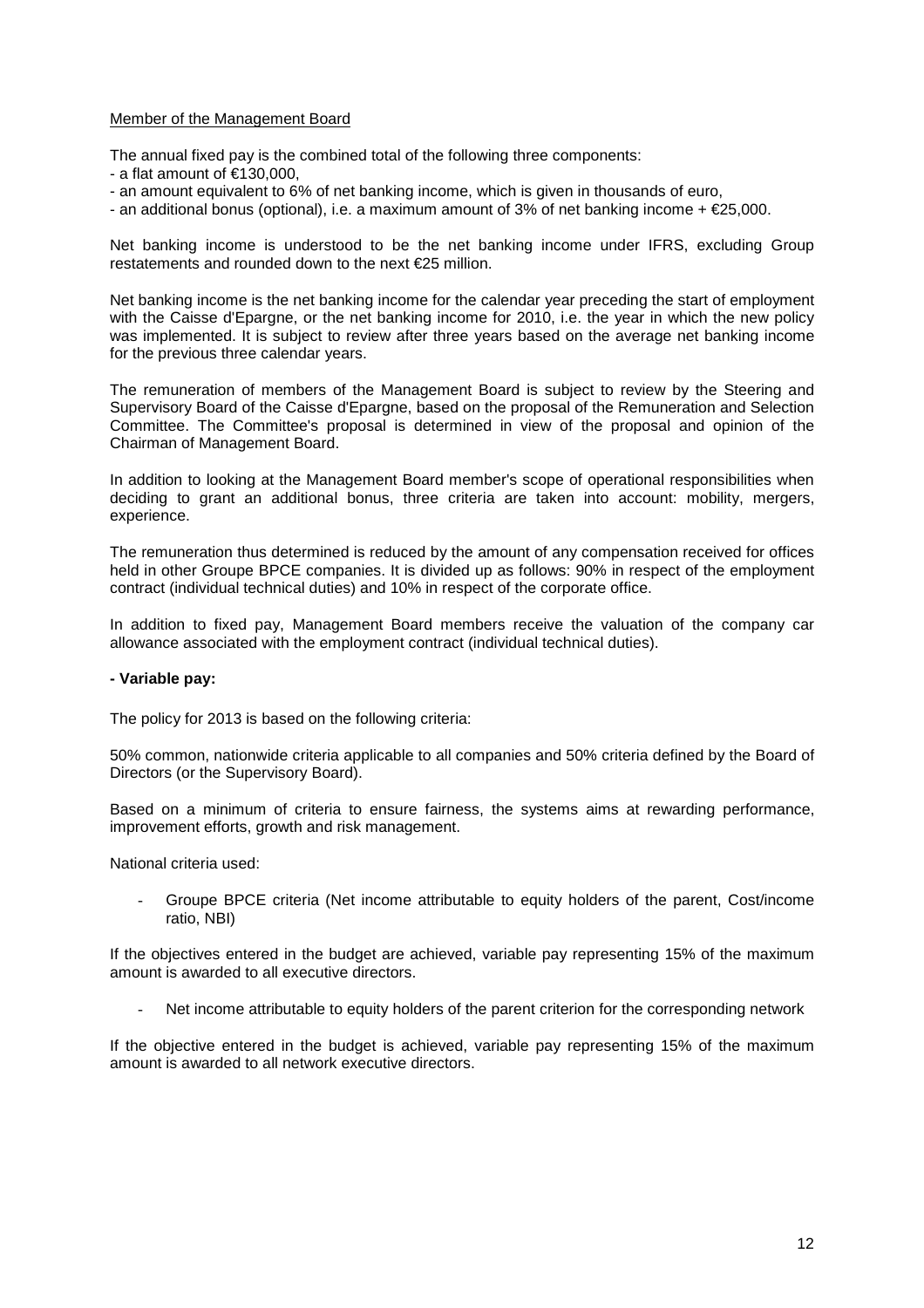### Member of the Management Board

The annual fixed pay is the combined total of the following three components:

- $-$  a flat amount of  $\in$ 130,000,
- an amount equivalent to 6% of net banking income, which is given in thousands of euro,
- an additional bonus (optional), i.e. a maximum amount of 3% of net banking income + €25,000.

Net banking income is understood to be the net banking income under IFRS, excluding Group restatements and rounded down to the next €25 million.

Net banking income is the net banking income for the calendar year preceding the start of employment with the Caisse d'Epargne, or the net banking income for 2010, i.e. the year in which the new policy was implemented. It is subject to review after three years based on the average net banking income for the previous three calendar years.

The remuneration of members of the Management Board is subject to review by the Steering and Supervisory Board of the Caisse d'Epargne, based on the proposal of the Remuneration and Selection Committee. The Committee's proposal is determined in view of the proposal and opinion of the Chairman of Management Board.

In addition to looking at the Management Board member's scope of operational responsibilities when deciding to grant an additional bonus, three criteria are taken into account: mobility, mergers, experience.

The remuneration thus determined is reduced by the amount of any compensation received for offices held in other Groupe BPCE companies. It is divided up as follows: 90% in respect of the employment contract (individual technical duties) and 10% in respect of the corporate office.

In addition to fixed pay, Management Board members receive the valuation of the company car allowance associated with the employment contract (individual technical duties).

#### **- Variable pay:**

The policy for 2013 is based on the following criteria:

50% common, nationwide criteria applicable to all companies and 50% criteria defined by the Board of Directors (or the Supervisory Board).

Based on a minimum of criteria to ensure fairness, the systems aims at rewarding performance, improvement efforts, growth and risk management.

National criteria used:

- Groupe BPCE criteria (Net income attributable to equity holders of the parent, Cost/income ratio, NBI)

If the objectives entered in the budget are achieved, variable pay representing 15% of the maximum amount is awarded to all executive directors.

Net income attributable to equity holders of the parent criterion for the corresponding network

If the objective entered in the budget is achieved, variable pay representing 15% of the maximum amount is awarded to all network executive directors.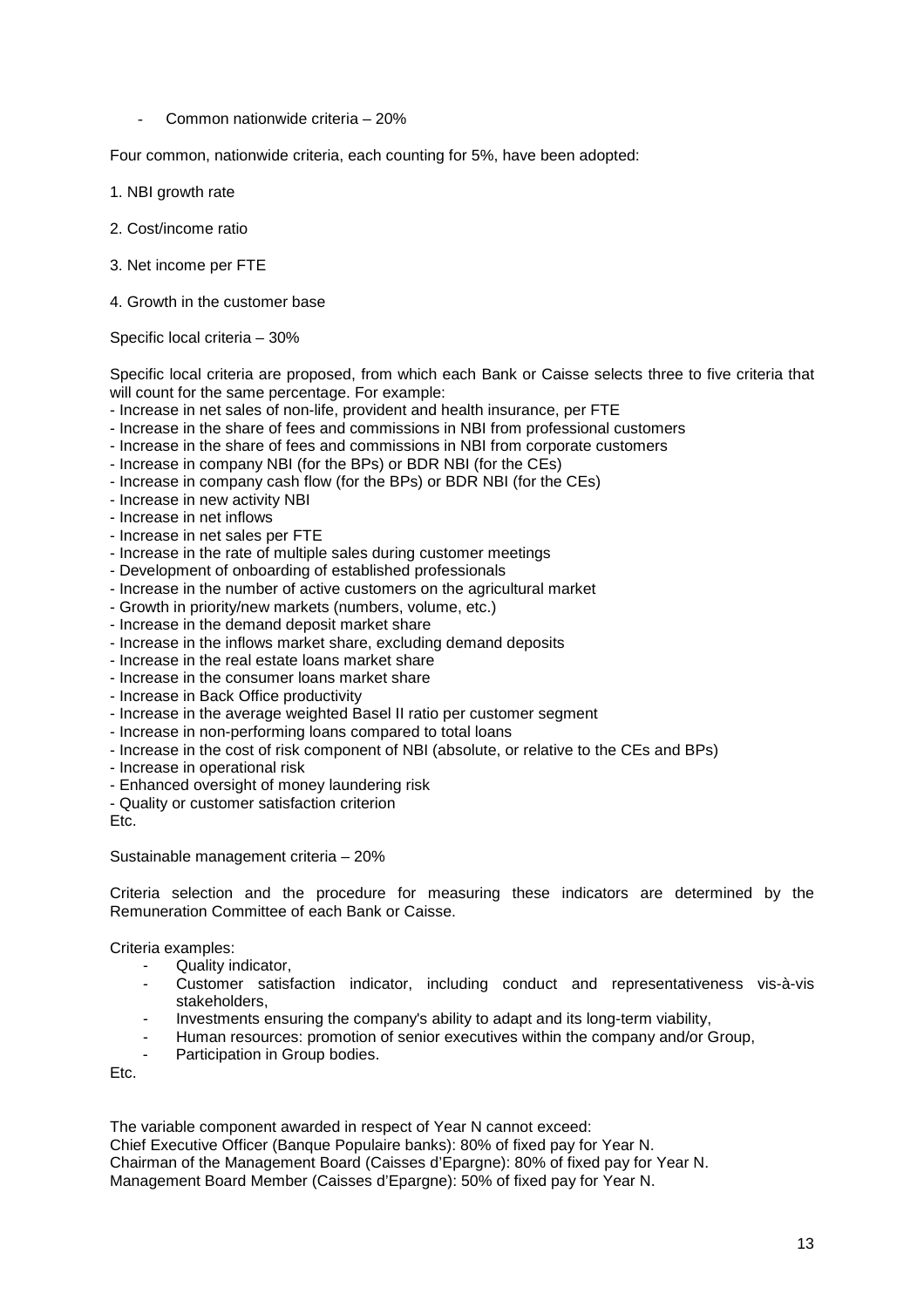- Common nationwide criteria – 20%

Four common, nationwide criteria, each counting for 5%, have been adopted:

- 1. NBI growth rate
- 2. Cost/income ratio
- 3. Net income per FTE
- 4. Growth in the customer base

Specific local criteria – 30%

Specific local criteria are proposed, from which each Bank or Caisse selects three to five criteria that will count for the same percentage. For example:

- Increase in net sales of non-life, provident and health insurance, per FTE
- Increase in the share of fees and commissions in NBI from professional customers
- Increase in the share of fees and commissions in NBI from corporate customers
- Increase in company NBI (for the BPs) or BDR NBI (for the CEs)
- Increase in company cash flow (for the BPs) or BDR NBI (for the CEs)
- Increase in new activity NBI
- Increase in net inflows
- Increase in net sales per FTE
- Increase in the rate of multiple sales during customer meetings
- Development of onboarding of established professionals
- Increase in the number of active customers on the agricultural market
- Growth in priority/new markets (numbers, volume, etc.)
- Increase in the demand deposit market share
- Increase in the inflows market share, excluding demand deposits
- Increase in the real estate loans market share
- Increase in the consumer loans market share
- Increase in Back Office productivity
- Increase in the average weighted Basel II ratio per customer segment
- Increase in non-performing loans compared to total loans
- Increase in the cost of risk component of NBI (absolute, or relative to the CEs and BPs)
- Increase in operational risk
- Enhanced oversight of money laundering risk
- Quality or customer satisfaction criterion

Etc.

Sustainable management criteria – 20%

Criteria selection and the procedure for measuring these indicators are determined by the Remuneration Committee of each Bank or Caisse.

Criteria examples:

- Quality indicator,
- Customer satisfaction indicator, including conduct and representativeness vis-à-vis stakeholders,
- Investments ensuring the company's ability to adapt and its long-term viability,
- Human resources: promotion of senior executives within the company and/or Group,
- Participation in Group bodies.

Etc.

The variable component awarded in respect of Year N cannot exceed:

Chief Executive Officer (Banque Populaire banks): 80% of fixed pay for Year N. Chairman of the Management Board (Caisses d'Epargne): 80% of fixed pay for Year N. Management Board Member (Caisses d'Epargne): 50% of fixed pay for Year N.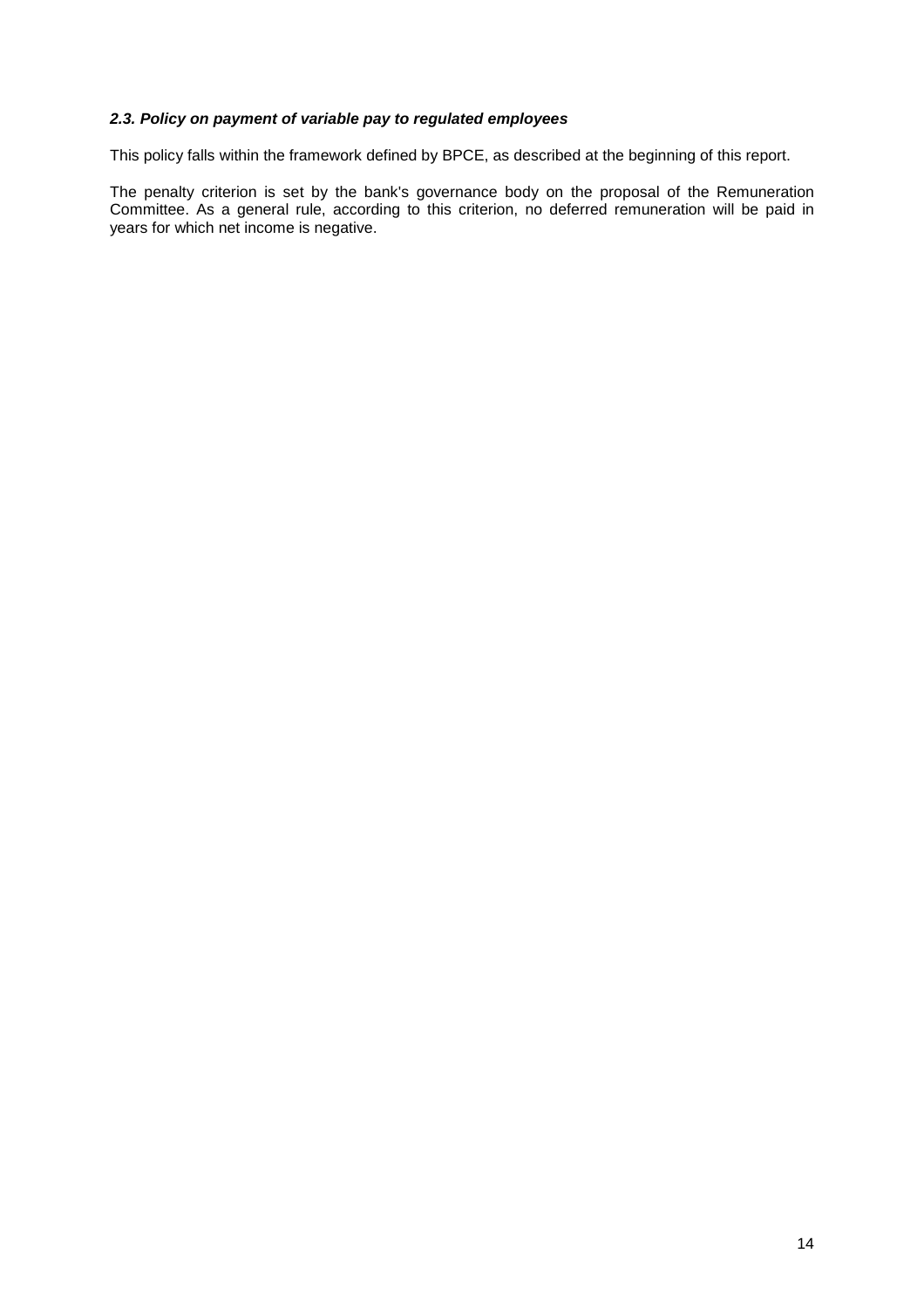### **2.3. Policy on payment of variable pay to regulated employees**

This policy falls within the framework defined by BPCE, as described at the beginning of this report.

The penalty criterion is set by the bank's governance body on the proposal of the Remuneration Committee. As a general rule, according to this criterion, no deferred remuneration will be paid in years for which net income is negative.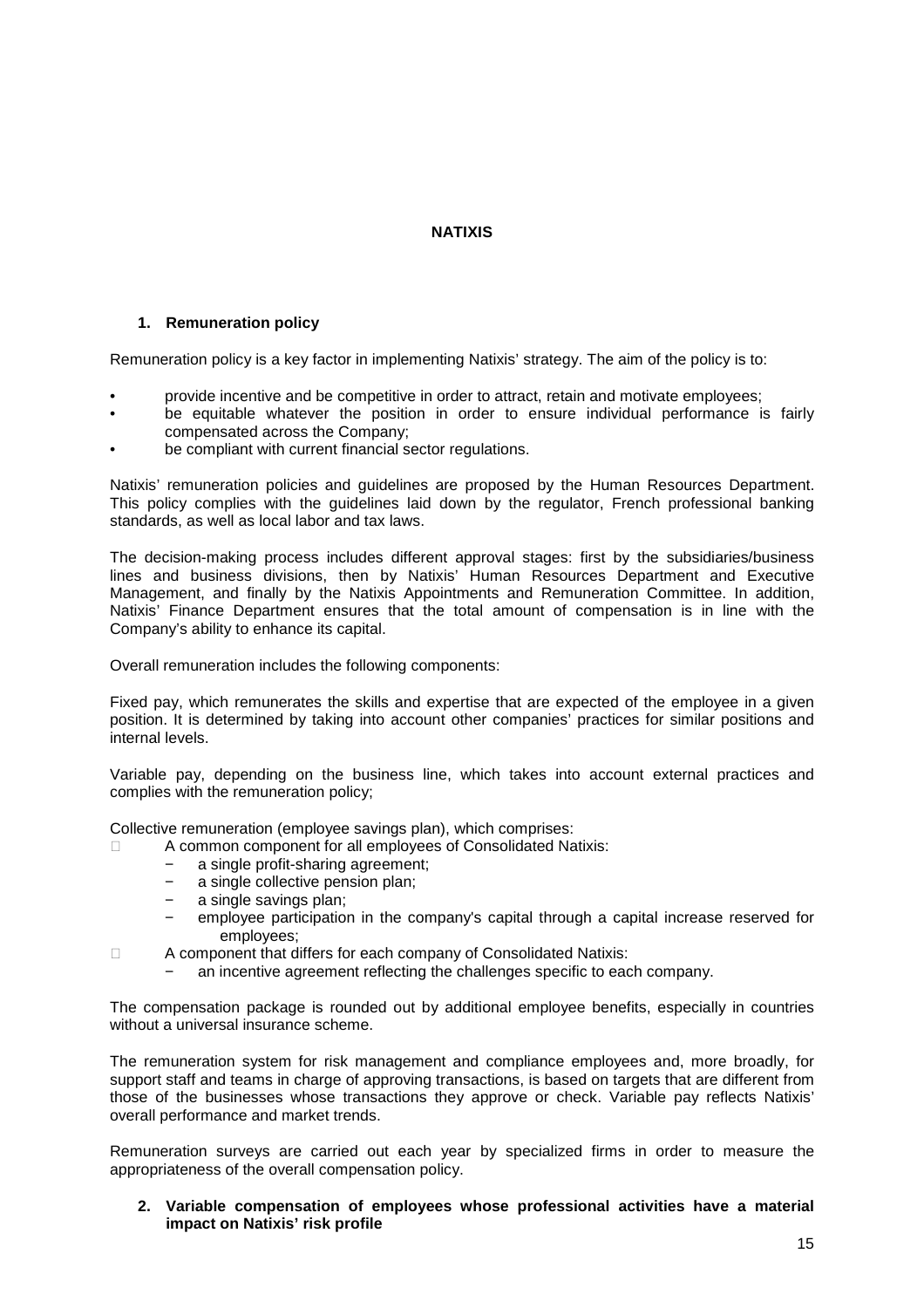## **NATIXIS**

### **1. Remuneration policy**

Remuneration policy is a key factor in implementing Natixis' strategy. The aim of the policy is to:

- provide incentive and be competitive in order to attract, retain and motivate employees;
- be equitable whatever the position in order to ensure individual performance is fairly compensated across the Company;
- be compliant with current financial sector regulations.

Natixis' remuneration policies and guidelines are proposed by the Human Resources Department. This policy complies with the guidelines laid down by the regulator, French professional banking standards, as well as local labor and tax laws.

The decision-making process includes different approval stages: first by the subsidiaries/business lines and business divisions, then by Natixis' Human Resources Department and Executive Management, and finally by the Natixis Appointments and Remuneration Committee. In addition, Natixis' Finance Department ensures that the total amount of compensation is in line with the Company's ability to enhance its capital.

Overall remuneration includes the following components:

Fixed pay, which remunerates the skills and expertise that are expected of the employee in a given position. It is determined by taking into account other companies' practices for similar positions and internal levels.

Variable pay, depending on the business line, which takes into account external practices and complies with the remuneration policy;

Collective remuneration (employee savings plan), which comprises:

- A common component for all employees of Consolidated Natixis:
- a single profit-sharing agreement;
- − a single collective pension plan;
- a single savings plan:
- − employee participation in the company's capital through a capital increase reserved for employees;
- A component that differs for each company of Consolidated Natixis:
- an incentive agreement reflecting the challenges specific to each company.

The compensation package is rounded out by additional employee benefits, especially in countries without a universal insurance scheme.

The remuneration system for risk management and compliance employees and, more broadly, for support staff and teams in charge of approving transactions, is based on targets that are different from those of the businesses whose transactions they approve or check. Variable pay reflects Natixis' overall performance and market trends.

Remuneration surveys are carried out each year by specialized firms in order to measure the appropriateness of the overall compensation policy.

**2. Variable compensation of employees whose professional activities have a material impact on Natixis' risk profile**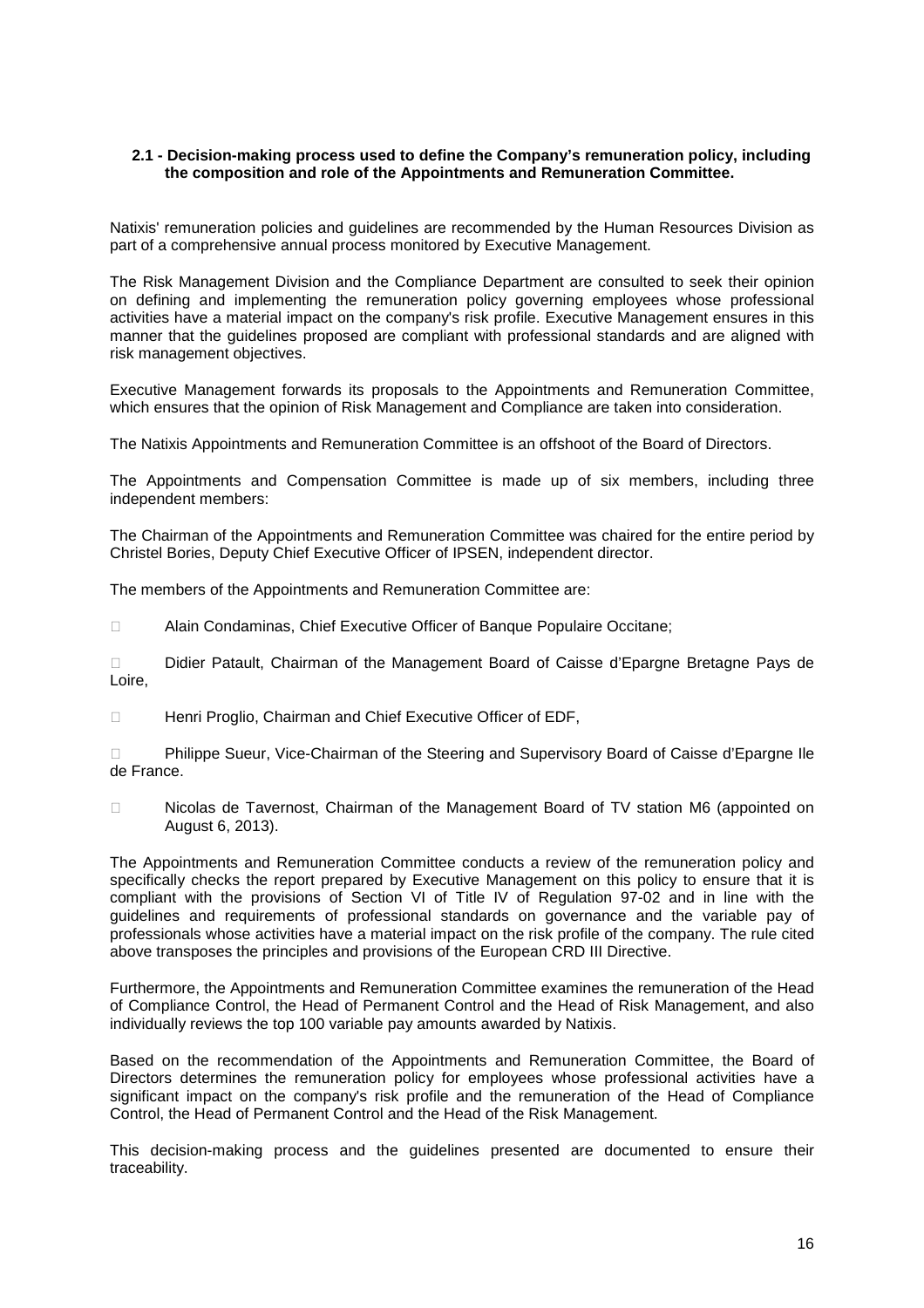### **2.1 - Decision-making process used to define the Company's remuneration policy, including the composition and role of the Appointments and Remuneration Committee.**

Natixis' remuneration policies and guidelines are recommended by the Human Resources Division as part of a comprehensive annual process monitored by Executive Management.

The Risk Management Division and the Compliance Department are consulted to seek their opinion on defining and implementing the remuneration policy governing employees whose professional activities have a material impact on the company's risk profile. Executive Management ensures in this manner that the guidelines proposed are compliant with professional standards and are aligned with risk management objectives.

Executive Management forwards its proposals to the Appointments and Remuneration Committee, which ensures that the opinion of Risk Management and Compliance are taken into consideration.

The Natixis Appointments and Remuneration Committee is an offshoot of the Board of Directors.

The Appointments and Compensation Committee is made up of six members, including three independent members:

The Chairman of the Appointments and Remuneration Committee was chaired for the entire period by Christel Bories, Deputy Chief Executive Officer of IPSEN, independent director.

The members of the Appointments and Remuneration Committee are:

Alain Condaminas, Chief Executive Officer of Banque Populaire Occitane;

 Didier Patault, Chairman of the Management Board of Caisse d'Epargne Bretagne Pays de Loire,

Henri Proglio, Chairman and Chief Executive Officer of EDF,

 Philippe Sueur, Vice-Chairman of the Steering and Supervisory Board of Caisse d'Epargne Ile de France.

 Nicolas de Tavernost, Chairman of the Management Board of TV station M6 (appointed on August 6, 2013).

The Appointments and Remuneration Committee conducts a review of the remuneration policy and specifically checks the report prepared by Executive Management on this policy to ensure that it is compliant with the provisions of Section VI of Title IV of Regulation 97-02 and in line with the guidelines and requirements of professional standards on governance and the variable pay of professionals whose activities have a material impact on the risk profile of the company. The rule cited above transposes the principles and provisions of the European CRD III Directive.

Furthermore, the Appointments and Remuneration Committee examines the remuneration of the Head of Compliance Control, the Head of Permanent Control and the Head of Risk Management, and also individually reviews the top 100 variable pay amounts awarded by Natixis.

Based on the recommendation of the Appointments and Remuneration Committee, the Board of Directors determines the remuneration policy for employees whose professional activities have a significant impact on the company's risk profile and the remuneration of the Head of Compliance Control, the Head of Permanent Control and the Head of the Risk Management.

This decision-making process and the guidelines presented are documented to ensure their traceability.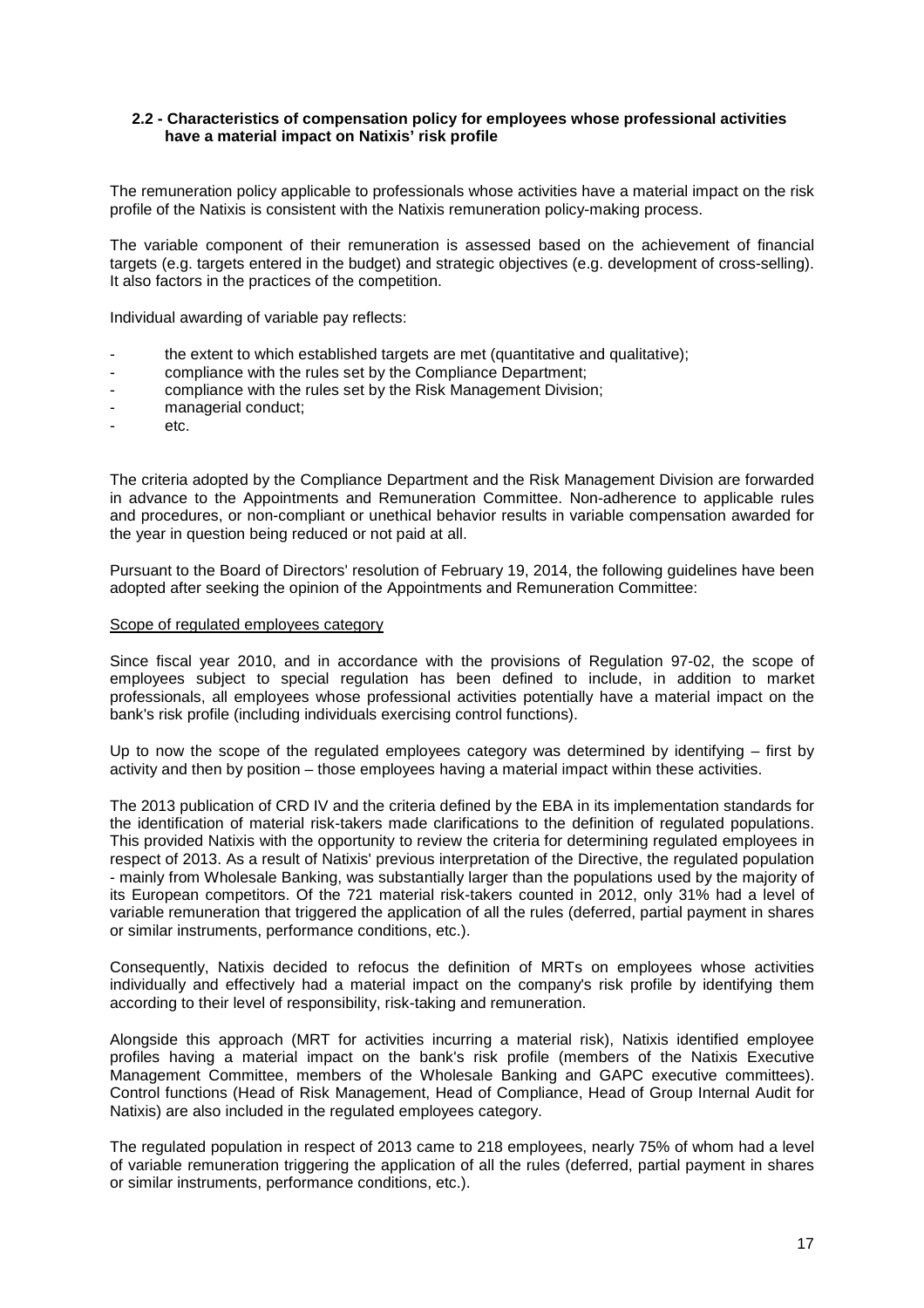### **2.2 - Characteristics of compensation policy for employees whose professional activities have a material impact on Natixis' risk profile**

The remuneration policy applicable to professionals whose activities have a material impact on the risk profile of the Natixis is consistent with the Natixis remuneration policy-making process.

The variable component of their remuneration is assessed based on the achievement of financial targets (e.g. targets entered in the budget) and strategic objectives (e.g. development of cross-selling). It also factors in the practices of the competition.

Individual awarding of variable pay reflects:

- the extent to which established targets are met (quantitative and qualitative);
- compliance with the rules set by the Compliance Department;
- compliance with the rules set by the Risk Management Division;
- managerial conduct;
- etc.

The criteria adopted by the Compliance Department and the Risk Management Division are forwarded in advance to the Appointments and Remuneration Committee. Non-adherence to applicable rules and procedures, or non-compliant or unethical behavior results in variable compensation awarded for the year in question being reduced or not paid at all.

Pursuant to the Board of Directors' resolution of February 19, 2014, the following guidelines have been adopted after seeking the opinion of the Appointments and Remuneration Committee:

#### Scope of regulated employees category

Since fiscal year 2010, and in accordance with the provisions of Regulation 97-02, the scope of employees subject to special regulation has been defined to include, in addition to market professionals, all employees whose professional activities potentially have a material impact on the bank's risk profile (including individuals exercising control functions).

Up to now the scope of the regulated employees category was determined by identifying – first by activity and then by position – those employees having a material impact within these activities.

The 2013 publication of CRD IV and the criteria defined by the EBA in its implementation standards for the identification of material risk-takers made clarifications to the definition of regulated populations. This provided Natixis with the opportunity to review the criteria for determining regulated employees in respect of 2013. As a result of Natixis' previous interpretation of the Directive, the regulated population - mainly from Wholesale Banking, was substantially larger than the populations used by the majority of its European competitors. Of the 721 material risk-takers counted in 2012, only 31% had a level of variable remuneration that triggered the application of all the rules (deferred, partial payment in shares or similar instruments, performance conditions, etc.).

Consequently, Natixis decided to refocus the definition of MRTs on employees whose activities individually and effectively had a material impact on the company's risk profile by identifying them according to their level of responsibility, risk-taking and remuneration.

Alongside this approach (MRT for activities incurring a material risk), Natixis identified employee profiles having a material impact on the bank's risk profile (members of the Natixis Executive Management Committee, members of the Wholesale Banking and GAPC executive committees). Control functions (Head of Risk Management, Head of Compliance, Head of Group Internal Audit for Natixis) are also included in the regulated employees category.

The regulated population in respect of 2013 came to 218 employees, nearly 75% of whom had a level of variable remuneration triggering the application of all the rules (deferred, partial payment in shares or similar instruments, performance conditions, etc.).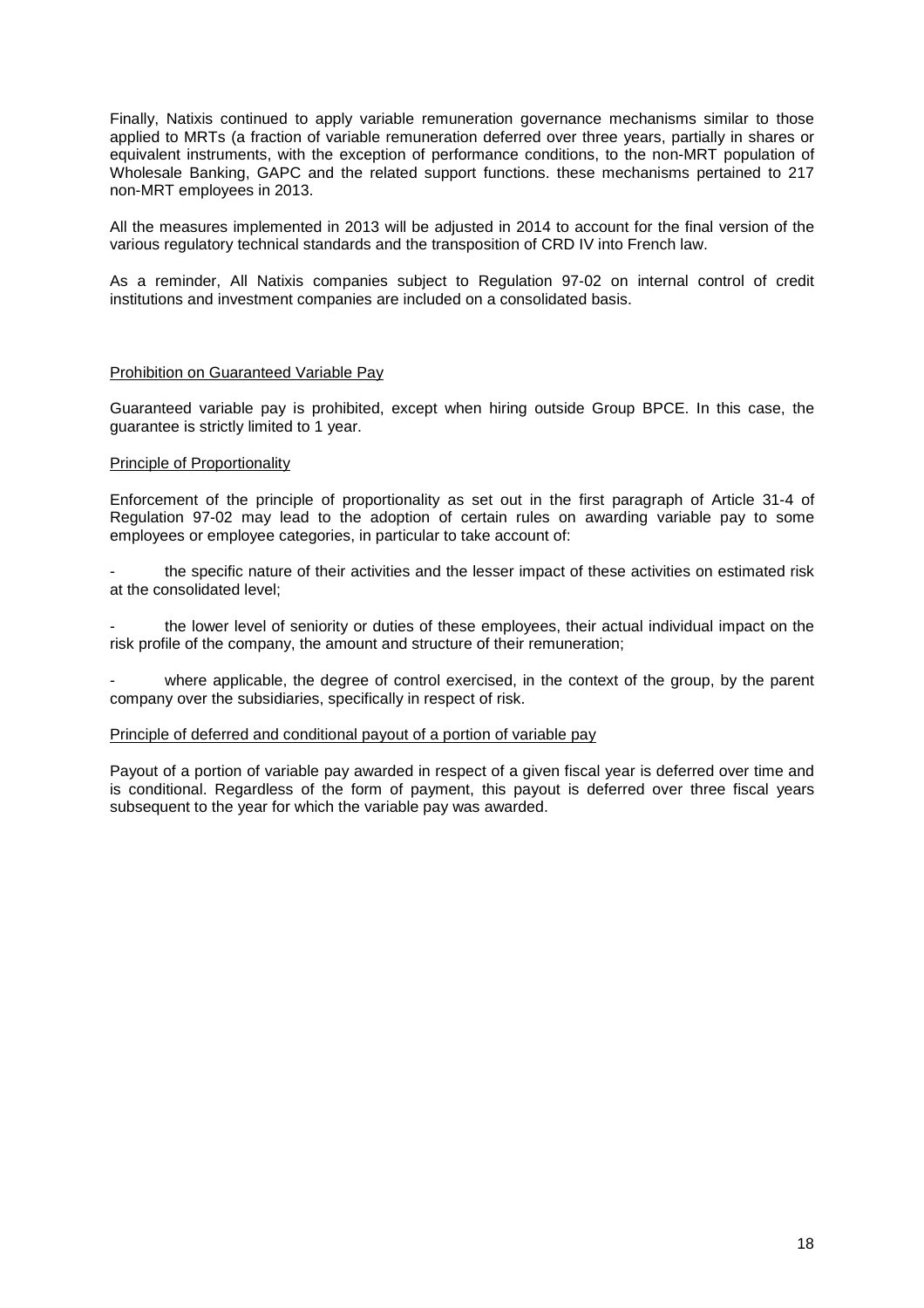Finally, Natixis continued to apply variable remuneration governance mechanisms similar to those applied to MRTs (a fraction of variable remuneration deferred over three years, partially in shares or equivalent instruments, with the exception of performance conditions, to the non-MRT population of Wholesale Banking, GAPC and the related support functions. these mechanisms pertained to 217 non-MRT employees in 2013.

All the measures implemented in 2013 will be adjusted in 2014 to account for the final version of the various regulatory technical standards and the transposition of CRD IV into French law.

As a reminder, All Natixis companies subject to Regulation 97-02 on internal control of credit institutions and investment companies are included on a consolidated basis.

#### Prohibition on Guaranteed Variable Pay

Guaranteed variable pay is prohibited, except when hiring outside Group BPCE. In this case, the guarantee is strictly limited to 1 year.

#### Principle of Proportionality

Enforcement of the principle of proportionality as set out in the first paragraph of Article 31-4 of Regulation 97-02 may lead to the adoption of certain rules on awarding variable pay to some employees or employee categories, in particular to take account of:

the specific nature of their activities and the lesser impact of these activities on estimated risk at the consolidated level;

the lower level of seniority or duties of these employees, their actual individual impact on the risk profile of the company, the amount and structure of their remuneration;

where applicable, the degree of control exercised, in the context of the group, by the parent company over the subsidiaries, specifically in respect of risk.

#### Principle of deferred and conditional payout of a portion of variable pay

Payout of a portion of variable pay awarded in respect of a given fiscal year is deferred over time and is conditional. Regardless of the form of payment, this payout is deferred over three fiscal years subsequent to the year for which the variable pay was awarded.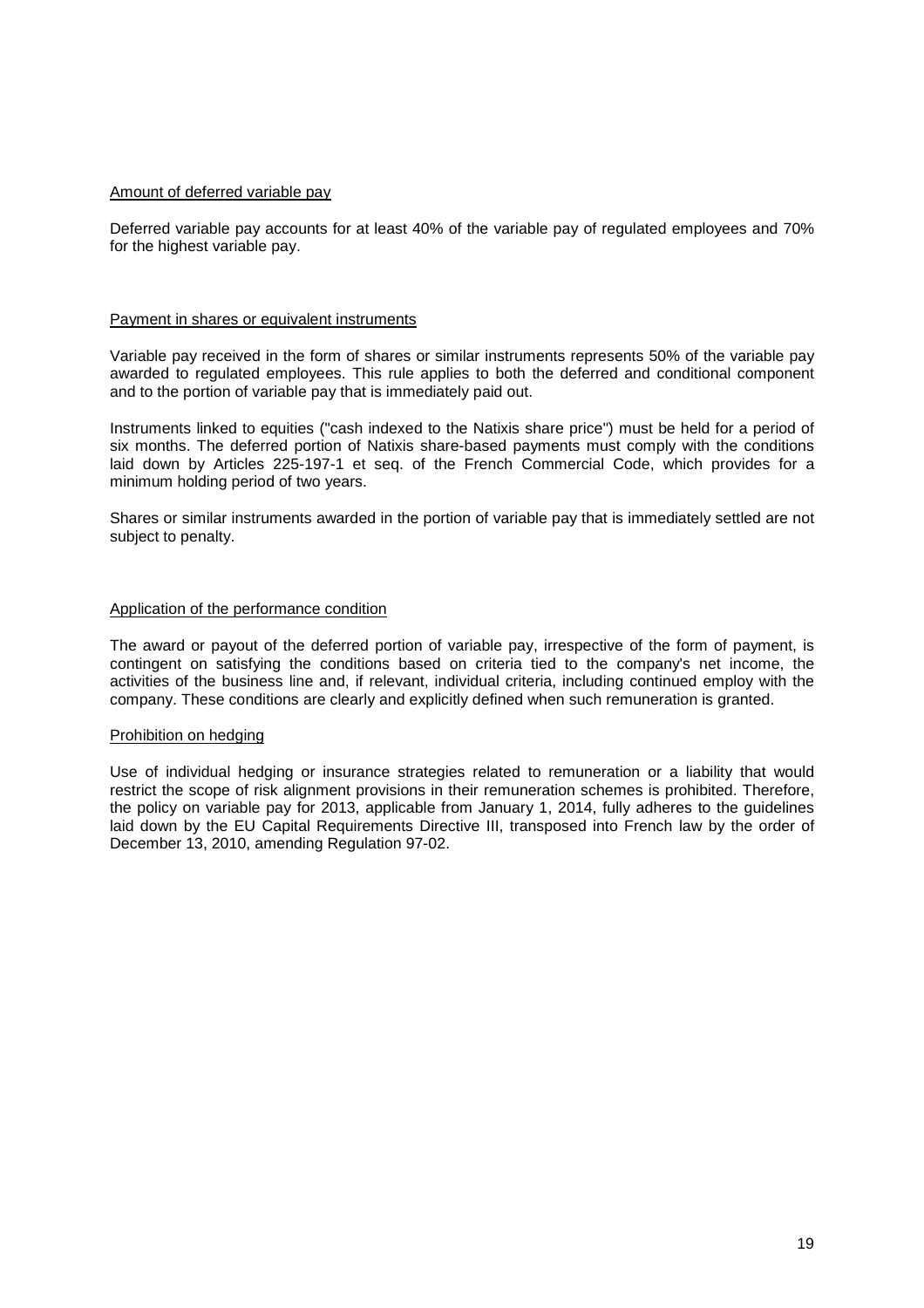### Amount of deferred variable pay

Deferred variable pay accounts for at least 40% of the variable pay of regulated employees and 70% for the highest variable pay.

#### Payment in shares or equivalent instruments

Variable pay received in the form of shares or similar instruments represents 50% of the variable pay awarded to regulated employees. This rule applies to both the deferred and conditional component and to the portion of variable pay that is immediately paid out.

Instruments linked to equities ("cash indexed to the Natixis share price") must be held for a period of six months. The deferred portion of Natixis share-based payments must comply with the conditions laid down by Articles 225-197-1 et seq. of the French Commercial Code, which provides for a minimum holding period of two years.

Shares or similar instruments awarded in the portion of variable pay that is immediately settled are not subject to penalty.

#### Application of the performance condition

The award or payout of the deferred portion of variable pay, irrespective of the form of payment, is contingent on satisfying the conditions based on criteria tied to the company's net income, the activities of the business line and, if relevant, individual criteria, including continued employ with the company. These conditions are clearly and explicitly defined when such remuneration is granted.

#### Prohibition on hedging

Use of individual hedging or insurance strategies related to remuneration or a liability that would restrict the scope of risk alignment provisions in their remuneration schemes is prohibited. Therefore, the policy on variable pay for 2013, applicable from January 1, 2014, fully adheres to the guidelines laid down by the EU Capital Requirements Directive III, transposed into French law by the order of December 13, 2010, amending Regulation 97-02.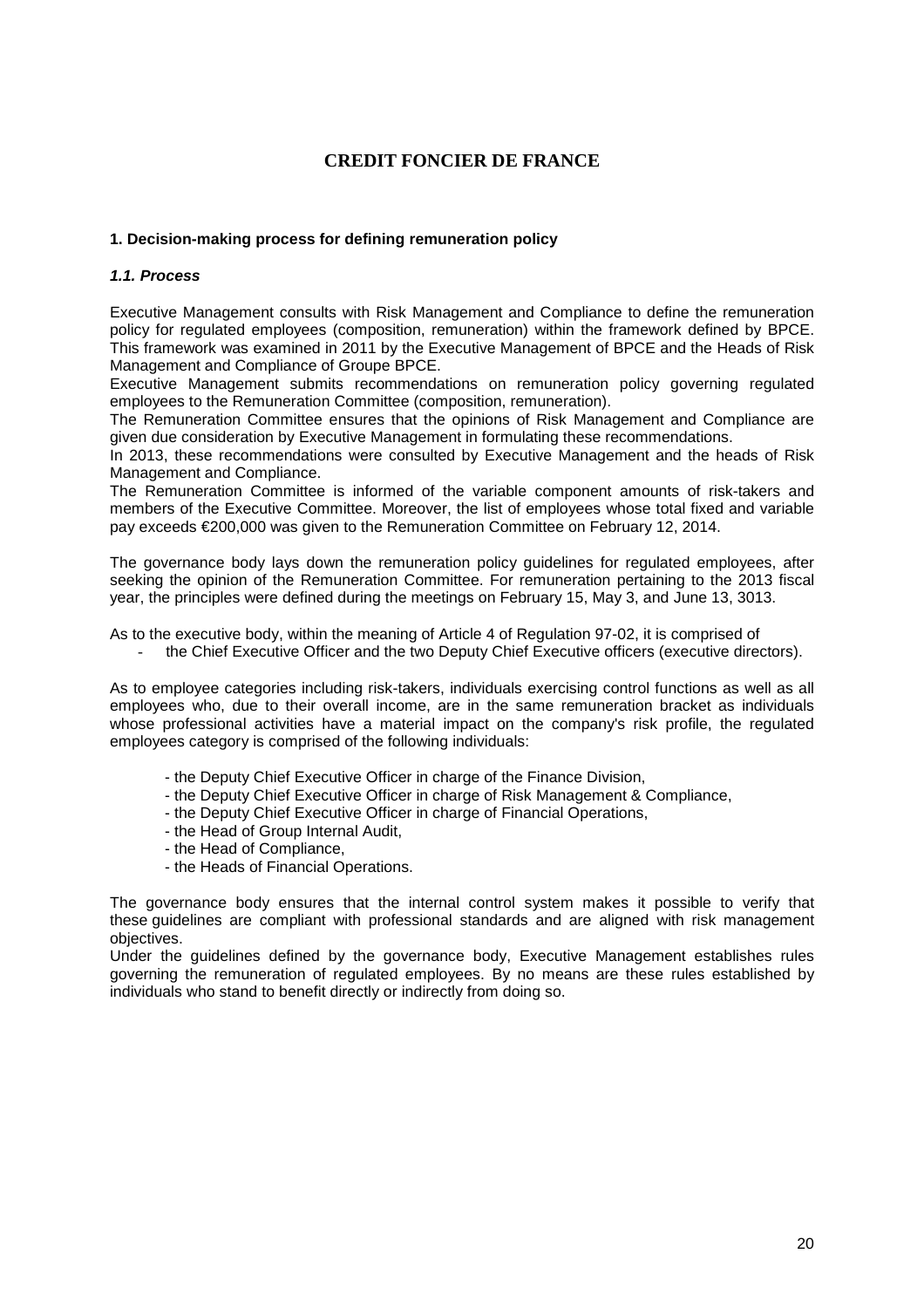# **CREDIT FONCIER DE FRANCE**

### **1. Decision-making process for defining remuneration policy**

### **1.1. Process**

Executive Management consults with Risk Management and Compliance to define the remuneration policy for regulated employees (composition, remuneration) within the framework defined by BPCE. This framework was examined in 2011 by the Executive Management of BPCE and the Heads of Risk Management and Compliance of Groupe BPCE.

Executive Management submits recommendations on remuneration policy governing regulated employees to the Remuneration Committee (composition, remuneration).

The Remuneration Committee ensures that the opinions of Risk Management and Compliance are given due consideration by Executive Management in formulating these recommendations.

In 2013, these recommendations were consulted by Executive Management and the heads of Risk Management and Compliance.

The Remuneration Committee is informed of the variable component amounts of risk-takers and members of the Executive Committee. Moreover, the list of employees whose total fixed and variable pay exceeds €200,000 was given to the Remuneration Committee on February 12, 2014.

The governance body lays down the remuneration policy guidelines for regulated employees, after seeking the opinion of the Remuneration Committee. For remuneration pertaining to the 2013 fiscal year, the principles were defined during the meetings on February 15, May 3, and June 13, 3013.

As to the executive body, within the meaning of Article 4 of Regulation 97-02, it is comprised of

the Chief Executive Officer and the two Deputy Chief Executive officers (executive directors).

As to employee categories including risk-takers, individuals exercising control functions as well as all employees who, due to their overall income, are in the same remuneration bracket as individuals whose professional activities have a material impact on the company's risk profile, the regulated employees category is comprised of the following individuals:

- the Deputy Chief Executive Officer in charge of the Finance Division,
- the Deputy Chief Executive Officer in charge of Risk Management & Compliance,
- the Deputy Chief Executive Officer in charge of Financial Operations,
- the Head of Group Internal Audit,
- the Head of Compliance,
- the Heads of Financial Operations.

The governance body ensures that the internal control system makes it possible to verify that these guidelines are compliant with professional standards and are aligned with risk management objectives.

Under the guidelines defined by the governance body, Executive Management establishes rules governing the remuneration of regulated employees. By no means are these rules established by individuals who stand to benefit directly or indirectly from doing so.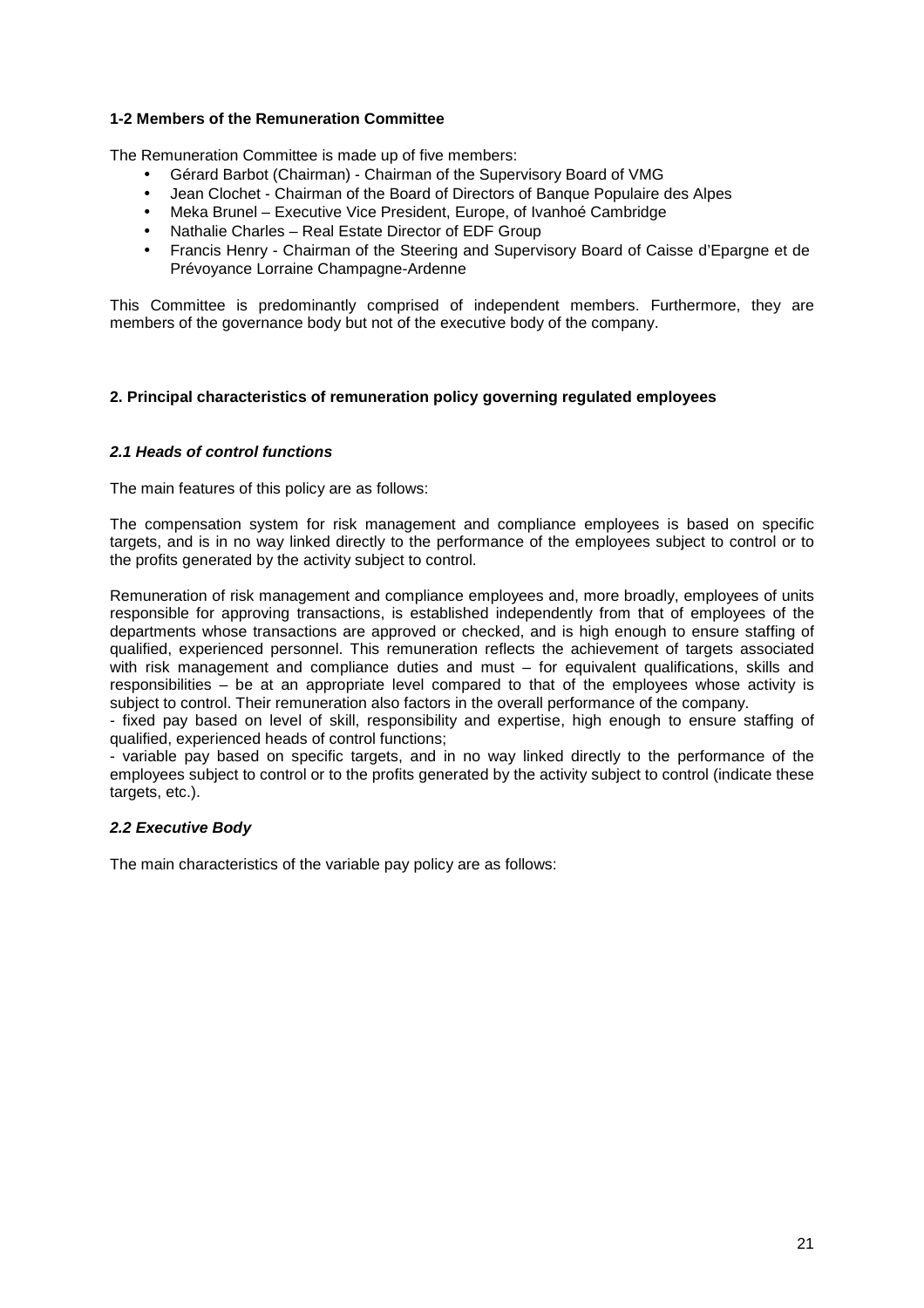### **1-2 Members of the Remuneration Committee**

The Remuneration Committee is made up of five members:

- Gérard Barbot (Chairman) Chairman of the Supervisory Board of VMG
- Jean Clochet Chairman of the Board of Directors of Banque Populaire des Alpes
- Meka Brunel Executive Vice President, Europe, of Ivanhoé Cambridge
- Nathalie Charles Real Estate Director of EDF Group
- Francis Henry Chairman of the Steering and Supervisory Board of Caisse d'Epargne et de Prévoyance Lorraine Champagne-Ardenne

This Committee is predominantly comprised of independent members. Furthermore, they are members of the governance body but not of the executive body of the company.

### **2. Principal characteristics of remuneration policy governing regulated employees**

### **2.1 Heads of control functions**

The main features of this policy are as follows:

The compensation system for risk management and compliance employees is based on specific targets, and is in no way linked directly to the performance of the employees subject to control or to the profits generated by the activity subject to control.

Remuneration of risk management and compliance employees and, more broadly, employees of units responsible for approving transactions, is established independently from that of employees of the departments whose transactions are approved or checked, and is high enough to ensure staffing of qualified, experienced personnel. This remuneration reflects the achievement of targets associated with risk management and compliance duties and must – for equivalent qualifications, skills and responsibilities – be at an appropriate level compared to that of the employees whose activity is subject to control. Their remuneration also factors in the overall performance of the company.

- fixed pay based on level of skill, responsibility and expertise, high enough to ensure staffing of qualified, experienced heads of control functions;

- variable pay based on specific targets, and in no way linked directly to the performance of the employees subject to control or to the profits generated by the activity subject to control (indicate these targets, etc.).

### **2.2 Executive Body**

The main characteristics of the variable pay policy are as follows: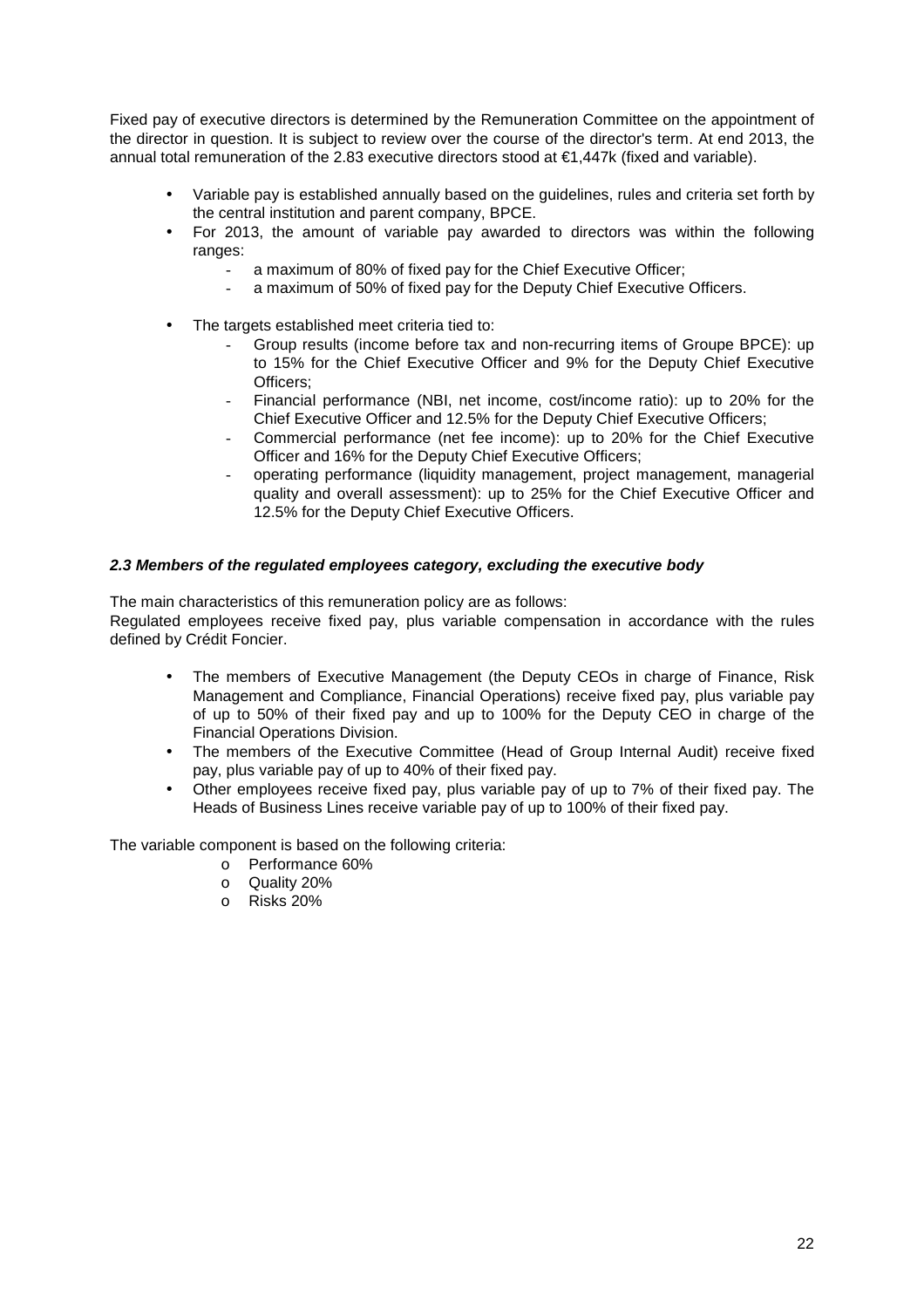Fixed pay of executive directors is determined by the Remuneration Committee on the appointment of the director in question. It is subject to review over the course of the director's term. At end 2013, the annual total remuneration of the 2.83 executive directors stood at €1,447k (fixed and variable).

- Variable pay is established annually based on the guidelines, rules and criteria set forth by the central institution and parent company, BPCE.
- For 2013, the amount of variable pay awarded to directors was within the following ranges:
	- a maximum of 80% of fixed pay for the Chief Executive Officer;
	- a maximum of 50% of fixed pay for the Deputy Chief Executive Officers.
- The targets established meet criteria tied to:
	- Group results (income before tax and non-recurring items of Groupe BPCE): up to 15% for the Chief Executive Officer and 9% for the Deputy Chief Executive Officers;
	- Financial performance (NBI, net income, cost/income ratio): up to 20% for the Chief Executive Officer and 12.5% for the Deputy Chief Executive Officers;
	- Commercial performance (net fee income): up to 20% for the Chief Executive Officer and 16% for the Deputy Chief Executive Officers;
	- operating performance (liquidity management, project management, managerial quality and overall assessment): up to 25% for the Chief Executive Officer and 12.5% for the Deputy Chief Executive Officers.

### **2.3 Members of the regulated employees category, excluding the executive body**

The main characteristics of this remuneration policy are as follows:

Regulated employees receive fixed pay, plus variable compensation in accordance with the rules defined by Crédit Foncier.

- The members of Executive Management (the Deputy CEOs in charge of Finance, Risk Management and Compliance, Financial Operations) receive fixed pay, plus variable pay of up to 50% of their fixed pay and up to 100% for the Deputy CEO in charge of the Financial Operations Division.
- The members of the Executive Committee (Head of Group Internal Audit) receive fixed pay, plus variable pay of up to 40% of their fixed pay.
- Other employees receive fixed pay, plus variable pay of up to 7% of their fixed pay. The Heads of Business Lines receive variable pay of up to 100% of their fixed pay.

The variable component is based on the following criteria:

- o Performance 60%
- o Quality 20%
- o Risks 20%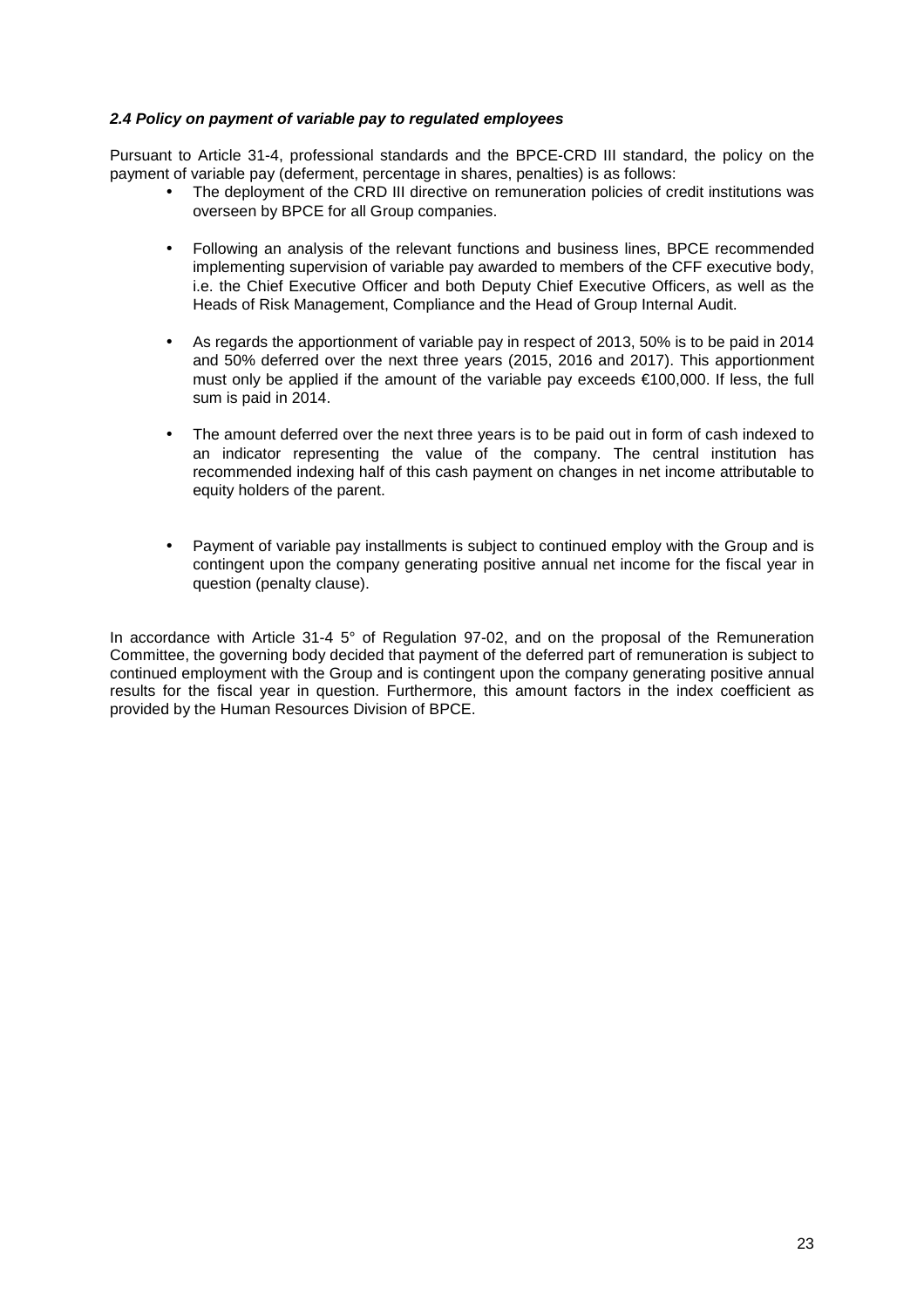### **2.4 Policy on payment of variable pay to regulated employees**

Pursuant to Article 31-4, professional standards and the BPCE-CRD III standard, the policy on the payment of variable pay (deferment, percentage in shares, penalties) is as follows:

- The deployment of the CRD III directive on remuneration policies of credit institutions was overseen by BPCE for all Group companies.
- Following an analysis of the relevant functions and business lines, BPCE recommended implementing supervision of variable pay awarded to members of the CFF executive body, i.e. the Chief Executive Officer and both Deputy Chief Executive Officers, as well as the Heads of Risk Management, Compliance and the Head of Group Internal Audit.
- As regards the apportionment of variable pay in respect of 2013, 50% is to be paid in 2014 and 50% deferred over the next three years (2015, 2016 and 2017). This apportionment must only be applied if the amount of the variable pay exceeds €100,000. If less, the full sum is paid in 2014.
- The amount deferred over the next three years is to be paid out in form of cash indexed to an indicator representing the value of the company. The central institution has recommended indexing half of this cash payment on changes in net income attributable to equity holders of the parent.
- Payment of variable pay installments is subject to continued employ with the Group and is contingent upon the company generating positive annual net income for the fiscal year in question (penalty clause).

In accordance with Article 31-4 5° of Regulation 97-02, and on the proposal of the Remuneration Committee, the governing body decided that payment of the deferred part of remuneration is subject to continued employment with the Group and is contingent upon the company generating positive annual results for the fiscal year in question. Furthermore, this amount factors in the index coefficient as provided by the Human Resources Division of BPCE.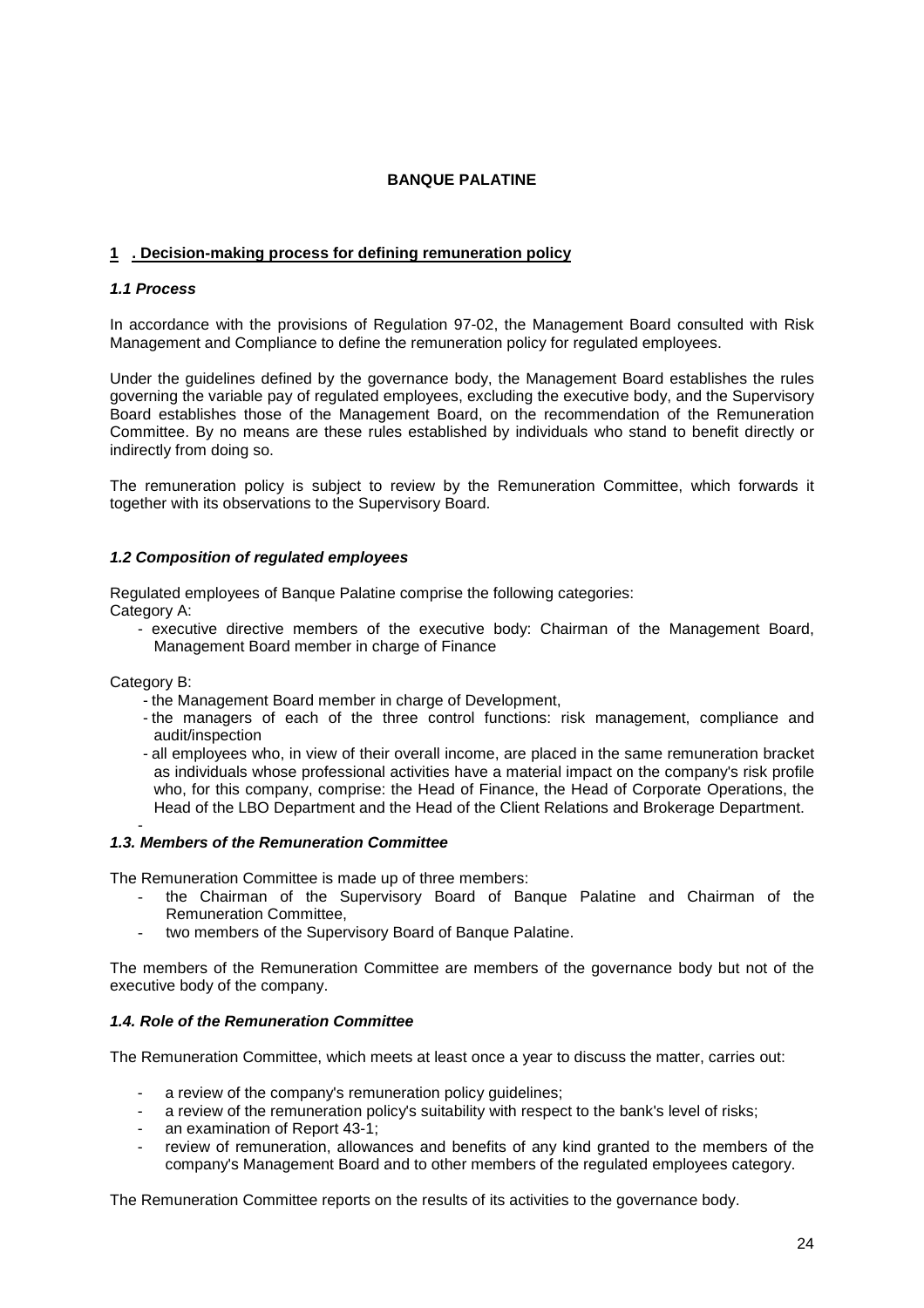## **BANQUE PALATINE**

## **1 . Decision-making process for defining remuneration policy**

### **1.1 Process**

In accordance with the provisions of Regulation 97-02, the Management Board consulted with Risk Management and Compliance to define the remuneration policy for regulated employees.

Under the guidelines defined by the governance body, the Management Board establishes the rules governing the variable pay of regulated employees, excluding the executive body, and the Supervisory Board establishes those of the Management Board, on the recommendation of the Remuneration Committee. By no means are these rules established by individuals who stand to benefit directly or indirectly from doing so.

The remuneration policy is subject to review by the Remuneration Committee, which forwards it together with its observations to the Supervisory Board.

### **1.2 Composition of regulated employees**

Regulated employees of Banque Palatine comprise the following categories: Category A:

- executive directive members of the executive body: Chairman of the Management Board, Management Board member in charge of Finance

Category B:

- the Management Board member in charge of Development,
- the managers of each of the three control functions: risk management, compliance and audit/inspection
- all employees who, in view of their overall income, are placed in the same remuneration bracket as individuals whose professional activities have a material impact on the company's risk profile who, for this company, comprise: the Head of Finance, the Head of Corporate Operations, the Head of the LBO Department and the Head of the Client Relations and Brokerage Department.

#### - **1.3. Members of the Remuneration Committee**

The Remuneration Committee is made up of three members:

- the Chairman of the Supervisory Board of Banque Palatine and Chairman of the Remuneration Committee,
- two members of the Supervisory Board of Banque Palatine.

The members of the Remuneration Committee are members of the governance body but not of the executive body of the company.

### **1.4. Role of the Remuneration Committee**

The Remuneration Committee, which meets at least once a year to discuss the matter, carries out:

- a review of the company's remuneration policy guidelines;
- a review of the remuneration policy's suitability with respect to the bank's level of risks;
- an examination of Report 43-1;
- review of remuneration, allowances and benefits of any kind granted to the members of the company's Management Board and to other members of the regulated employees category.

The Remuneration Committee reports on the results of its activities to the governance body.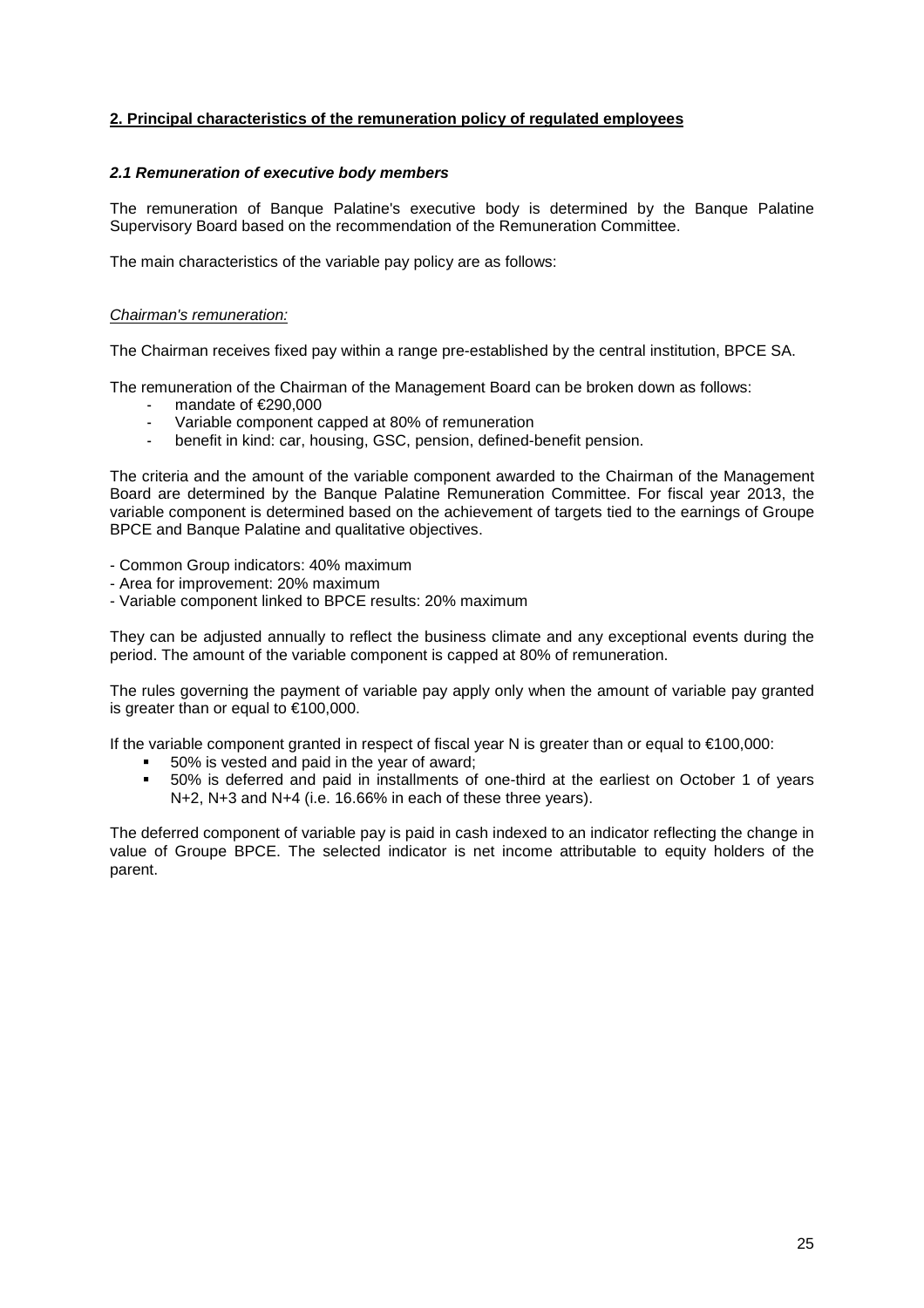## **2. Principal characteristics of the remuneration policy of regulated employees**

### **2.1 Remuneration of executive body members**

The remuneration of Banque Palatine's executive body is determined by the Banque Palatine Supervisory Board based on the recommendation of the Remuneration Committee.

The main characteristics of the variable pay policy are as follows:

#### Chairman's remuneration:

The Chairman receives fixed pay within a range pre-established by the central institution, BPCE SA.

The remuneration of the Chairman of the Management Board can be broken down as follows:

- mandate of  $\epsilon$ 290,000
- Variable component capped at 80% of remuneration
- benefit in kind: car, housing, GSC, pension, defined-benefit pension.

The criteria and the amount of the variable component awarded to the Chairman of the Management Board are determined by the Banque Palatine Remuneration Committee. For fiscal year 2013, the variable component is determined based on the achievement of targets tied to the earnings of Groupe BPCE and Banque Palatine and qualitative objectives.

- Common Group indicators: 40% maximum

- Area for improvement: 20% maximum
- Variable component linked to BPCE results: 20% maximum

They can be adjusted annually to reflect the business climate and any exceptional events during the period. The amount of the variable component is capped at 80% of remuneration.

The rules governing the payment of variable pay apply only when the amount of variable pay granted is greater than or equal to €100,000.

If the variable component granted in respect of fiscal year N is greater than or equal to €100,000:

- 50% is vested and paid in the year of award;
- 50% is deferred and paid in installments of one-third at the earliest on October 1 of years N+2, N+3 and N+4 (i.e. 16.66% in each of these three years).

The deferred component of variable pay is paid in cash indexed to an indicator reflecting the change in value of Groupe BPCE. The selected indicator is net income attributable to equity holders of the parent.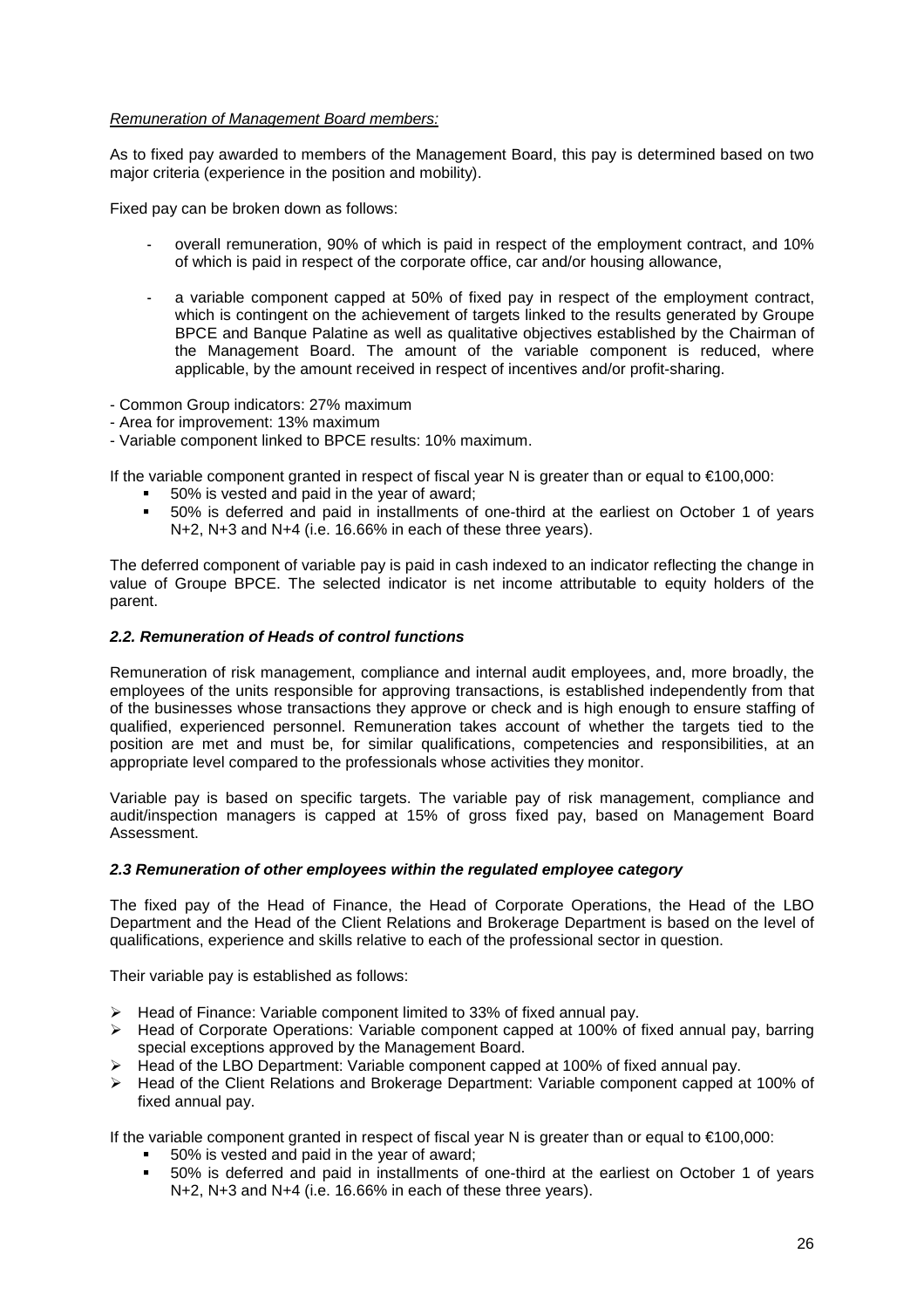### Remuneration of Management Board members:

As to fixed pay awarded to members of the Management Board, this pay is determined based on two major criteria (experience in the position and mobility).

Fixed pay can be broken down as follows:

- overall remuneration, 90% of which is paid in respect of the employment contract, and 10% of which is paid in respect of the corporate office, car and/or housing allowance,
- a variable component capped at 50% of fixed pay in respect of the employment contract, which is contingent on the achievement of targets linked to the results generated by Groupe BPCE and Banque Palatine as well as qualitative objectives established by the Chairman of the Management Board. The amount of the variable component is reduced, where applicable, by the amount received in respect of incentives and/or profit-sharing.
- Common Group indicators: 27% maximum
- Area for improvement: 13% maximum
- Variable component linked to BPCE results: 10% maximum.

If the variable component granted in respect of fiscal year N is greater than or equal to €100,000:

- 50% is vested and paid in the year of award;
- 50% is deferred and paid in installments of one-third at the earliest on October 1 of years N+2, N+3 and N+4 (i.e. 16.66% in each of these three years).

The deferred component of variable pay is paid in cash indexed to an indicator reflecting the change in value of Groupe BPCE. The selected indicator is net income attributable to equity holders of the parent.

### **2.2. Remuneration of Heads of control functions**

Remuneration of risk management, compliance and internal audit employees, and, more broadly, the employees of the units responsible for approving transactions, is established independently from that of the businesses whose transactions they approve or check and is high enough to ensure staffing of qualified, experienced personnel. Remuneration takes account of whether the targets tied to the position are met and must be, for similar qualifications, competencies and responsibilities, at an appropriate level compared to the professionals whose activities they monitor.

Variable pay is based on specific targets. The variable pay of risk management, compliance and audit/inspection managers is capped at 15% of gross fixed pay, based on Management Board Assessment.

#### **2.3 Remuneration of other employees within the regulated employee category**

The fixed pay of the Head of Finance, the Head of Corporate Operations, the Head of the LBO Department and the Head of the Client Relations and Brokerage Department is based on the level of qualifications, experience and skills relative to each of the professional sector in question.

Their variable pay is established as follows:

- $\triangleright$  Head of Finance: Variable component limited to 33% of fixed annual pay.
- $\triangleright$  Head of Corporate Operations: Variable component capped at 100% of fixed annual pay, barring special exceptions approved by the Management Board.
- $\triangleright$  Head of the LBO Department: Variable component capped at 100% of fixed annual pay.
- Head of the Client Relations and Brokerage Department: Variable component capped at 100% of fixed annual pay.

If the variable component granted in respect of fiscal year N is greater than or equal to  $\epsilon$ 100,000:

- 50% is vested and paid in the year of award;
- 50% is deferred and paid in installments of one-third at the earliest on October 1 of years N+2, N+3 and N+4 (i.e. 16.66% in each of these three years).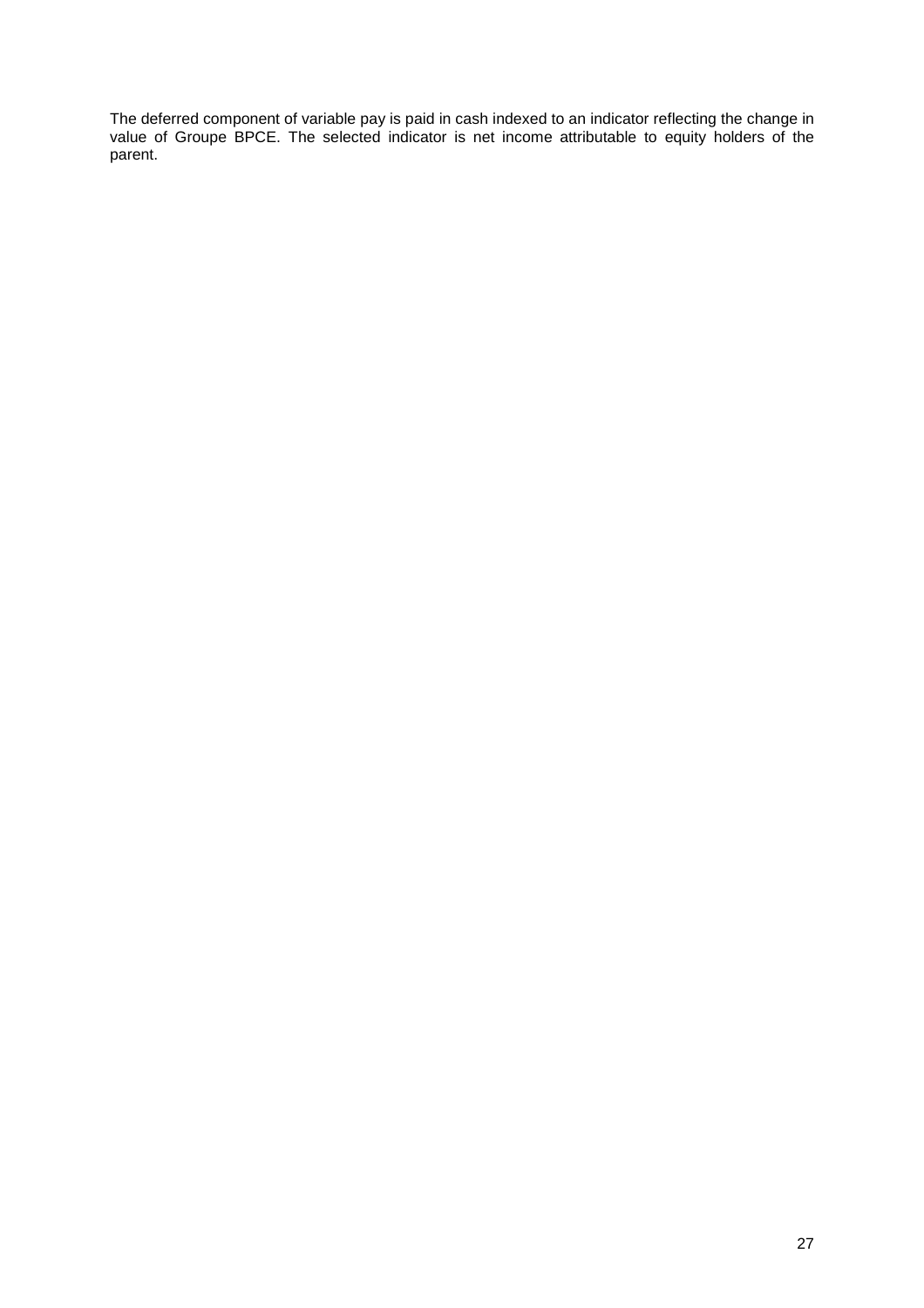The deferred component of variable pay is paid in cash indexed to an indicator reflecting the change in value of Groupe BPCE. The selected indicator is net income attributable to equity holders of the parent.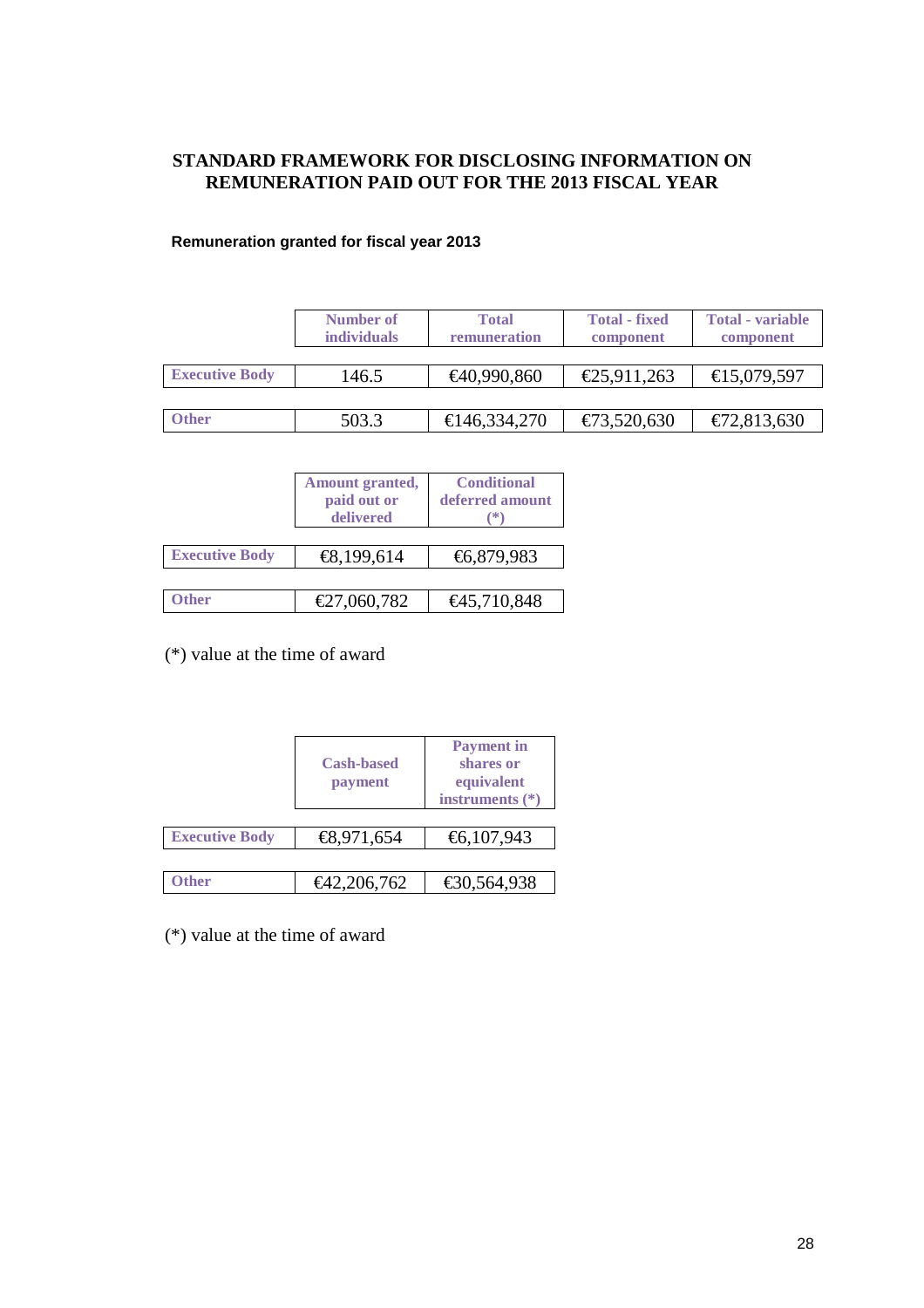# **STANDARD FRAMEWORK FOR DISCLOSING INFORMATION ON REMUNERATION PAID OUT FOR THE 2013 FISCAL YEAR**

## **Remuneration granted for fiscal year 2013**

|                       | Number of<br><i>individuals</i> | <b>Total</b><br>remuneration | <b>Total - fixed</b><br>component | <b>Total</b> - variable<br>component |
|-----------------------|---------------------------------|------------------------------|-----------------------------------|--------------------------------------|
|                       |                                 |                              |                                   |                                      |
| <b>Executive Body</b> | 146.5                           | €40,990,860                  | €25,911,263                       | €15,079,597                          |
|                       |                                 |                              |                                   |                                      |
| <b>Other</b>          | 503.3                           | €146,334,270                 | €73,520,630                       | €72,813,630                          |

|                       | Amount granted,<br>paid out or<br>delivered | <b>Conditional</b><br>deferred amount<br>*' |
|-----------------------|---------------------------------------------|---------------------------------------------|
| <b>Executive Body</b> | €8,199,614                                  | €6,879,983                                  |
|                       |                                             |                                             |
| <b>Ither</b>          | €27,060,782                                 | €45,710,848                                 |

(\*) value at the time of award

|                       | <b>Cash-based</b><br>payment | <b>Payment</b> in<br>shares or<br>equivalent<br>instruments $(*)$ |
|-----------------------|------------------------------|-------------------------------------------------------------------|
| <b>Executive Body</b> | €8,971,654                   | €6,107,943                                                        |
|                       |                              |                                                                   |
| <b>Ither</b>          | €42,206,762                  | €30,564,938                                                       |

(\*) value at the time of award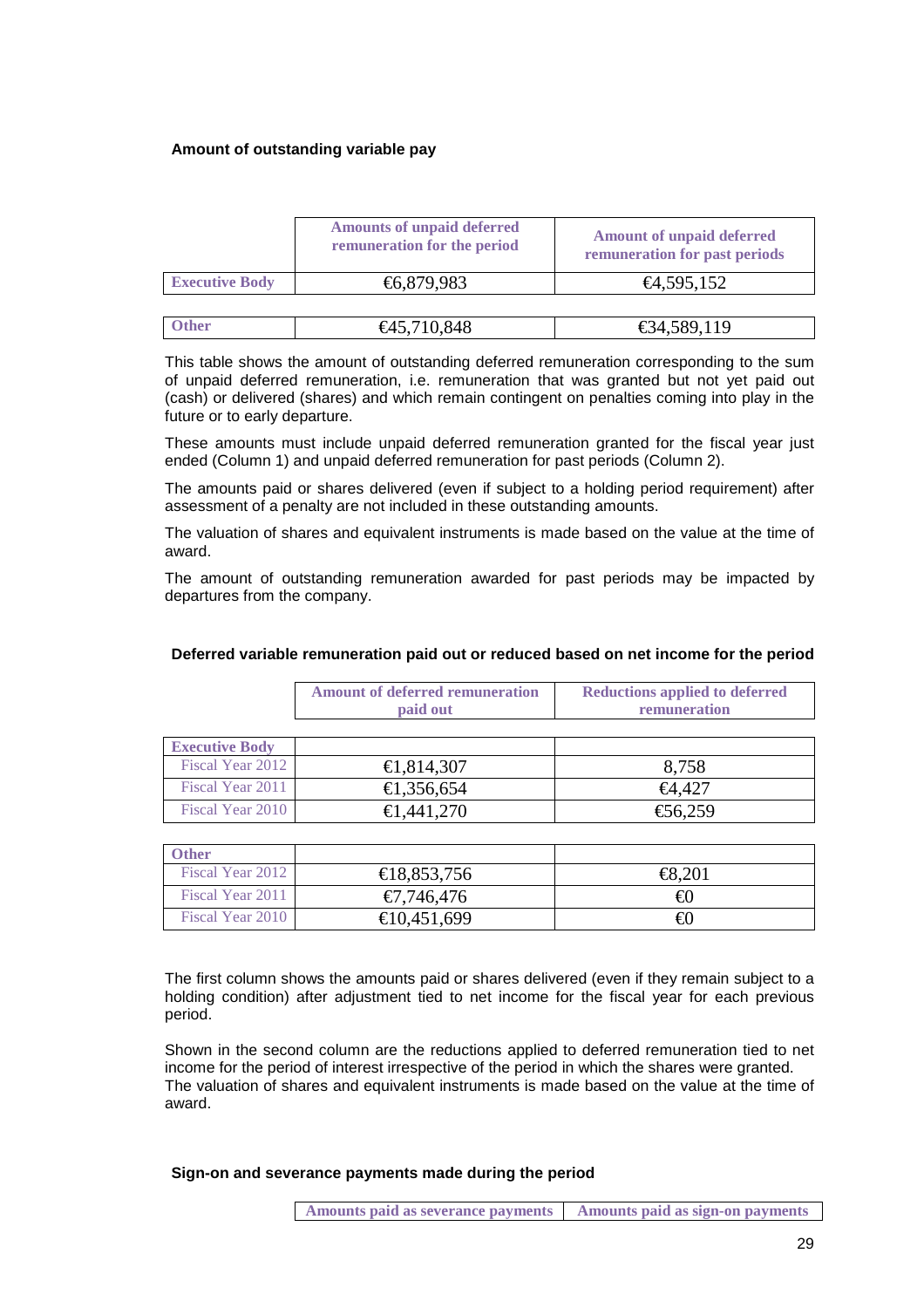### **Amount of outstanding variable pay**

|                       | <b>Amounts of unpaid deferred</b><br>remuneration for the period | <b>Amount of unpaid deferred</b><br>remuneration for past periods |
|-----------------------|------------------------------------------------------------------|-------------------------------------------------------------------|
| <b>Executive Body</b> | €6,879,983                                                       | €4,595,152                                                        |
|                       |                                                                  |                                                                   |
| ther                  | $\text{\textsterling}45.710.848$                                 | $\text{£}34.589.119$                                              |

This table shows the amount of outstanding deferred remuneration corresponding to the sum of unpaid deferred remuneration, i.e. remuneration that was granted but not yet paid out (cash) or delivered (shares) and which remain contingent on penalties coming into play in the

future or to early departure. These amounts must include unpaid deferred remuneration granted for the fiscal year just ended (Column 1) and unpaid deferred remuneration for past periods (Column 2).

The amounts paid or shares delivered (even if subject to a holding period requirement) after assessment of a penalty are not included in these outstanding amounts.

The valuation of shares and equivalent instruments is made based on the value at the time of award.

The amount of outstanding remuneration awarded for past periods may be impacted by departures from the company.

|                       | <b>Amount of deferred remuneration</b><br>paid out | <b>Reductions applied to deferred</b><br>remuneration |
|-----------------------|----------------------------------------------------|-------------------------------------------------------|
| <b>Executive Body</b> |                                                    |                                                       |
| Fiscal Year 2012      | €1,814,307                                         | 8,758                                                 |
| Fiscal Year 2011      | €1,356,654                                         | €4,427                                                |
| Fiscal Year 2010      | €1,441,270                                         | €56,259                                               |

### **Deferred variable remuneration paid out or reduced based on net income for the period**

| )ther            |             |        |
|------------------|-------------|--------|
| Fiscal Year 2012 | €18,853,756 | €8,201 |
| Fiscal Year 2011 | €7,746,476  | €0     |
| Fiscal Year 2010 | €10,451,699 | €0     |

The first column shows the amounts paid or shares delivered (even if they remain subject to a holding condition) after adjustment tied to net income for the fiscal year for each previous period.

Shown in the second column are the reductions applied to deferred remuneration tied to net income for the period of interest irrespective of the period in which the shares were granted. The valuation of shares and equivalent instruments is made based on the value at the time of award.

**Sign-on and severance payments made during the period**